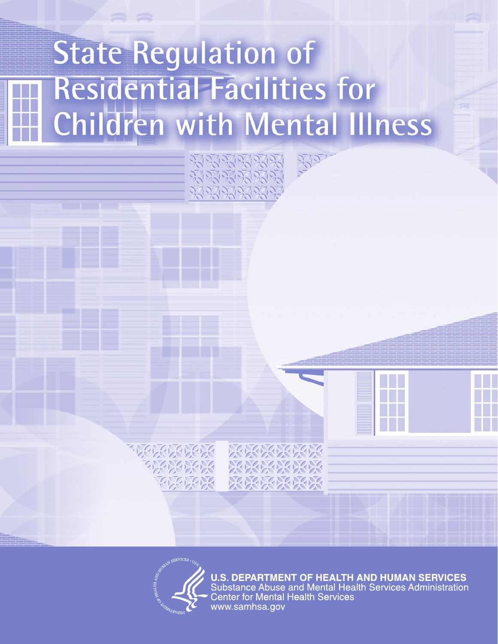# **State Regulation of Residential Facilities for Children with Mental Illness**

2712712712

3300



**U.S. DEPARTMENT OF HEALTH AND HUMAN SERVICES** Substance Abuse and Mental Health Services Administration<br>Center for Mental Health Services www.samhsa.gov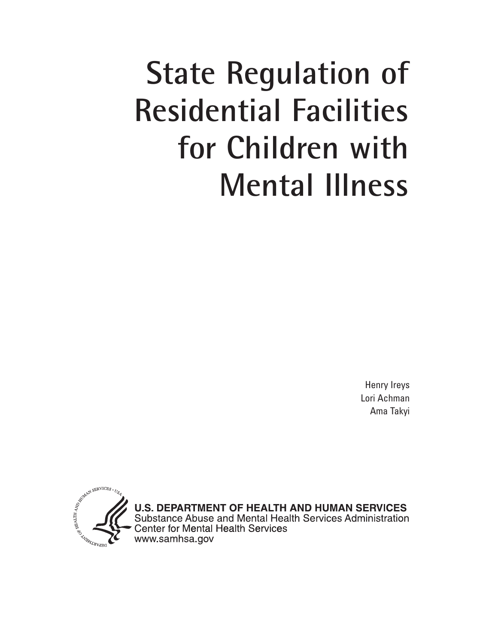# **State Regulation of Residential Facilities for Children with Mental Illness**

Henry Ireys Lori Achman Ama Takyi

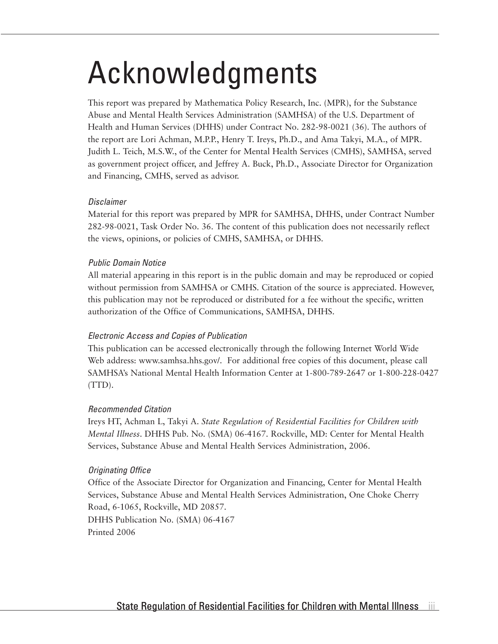## Acknowledgments

This report was prepared by Mathematica Policy Research, Inc. (MPR), for the Substance Abuse and Mental Health Services Administration (SAMHSA) of the U.S. Department of Health and Human Services (DHHS) under Contract No. 282-98-0021 (36). The authors of the report are Lori Achman, M.P.P., Henry T. Ireys, Ph.D., and Ama Takyi, M.A., of MPR. Judith L. Teich, M.S.W., of the Center for Mental Health Services (CMHS), SAMHSA, served as government project officer, and Jeffrey A. Buck, Ph.D., Associate Director for Organization and Financing, CMHS, served as advisor.

#### *Disclaimer*

Material for this report was prepared by MPR for SAMHSA, DHHS, under Contract Number 282-98-0021, Task Order No. 36. The content of this publication does not necessarily reflect the views, opinions, or policies of CMHS, SAMHSA, or DHHS.

#### *Public Domain Notice*

All material appearing in this report is in the public domain and may be reproduced or copied without permission from SAMHSA or CMHS. Citation of the source is appreciated. However, this publication may not be reproduced or distributed for a fee without the specific, written authorization of the Office of Communications, SAMHSA, DHHS.

#### *Electronic Access and Copies of Publication*

This publication can be accessed electronically through the following Internet World Wide Web address: www.samhsa.hhs.gov/. For additional free copies of this document, please call SAMHSA's National Mental Health Information Center at 1-800-789-2647 or 1-800-228-0427 (TTD).

#### *Recommended Citation*

Ireys HT, Achman L, Takyi A. *State Regulation of Residential Facilities for Children with Mental Illness*. DHHS Pub. No. (SMA) 06-4167. Rockville, MD: Center for Mental Health Services, Substance Abuse and Mental Health Services Administration, 2006.

#### *Originating Office*

Office of the Associate Director for Organization and Financing, Center for Mental Health Services, Substance Abuse and Mental Health Services Administration, One Choke Cherry Road, 6-1065, Rockville, MD 20857. DHHS Publication No. (SMA) 06-4167 Printed 2006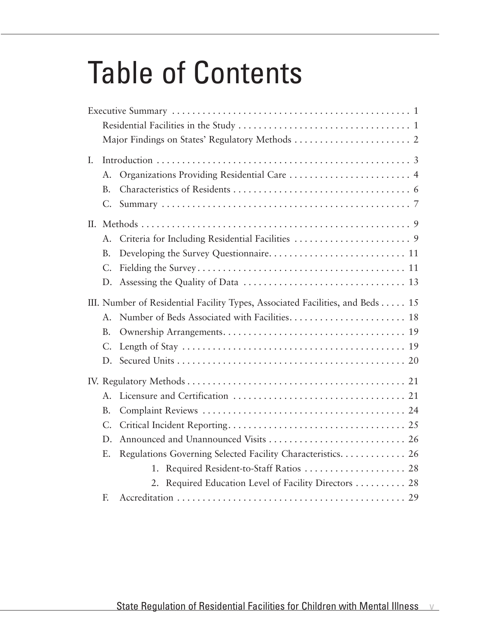# Table of Contents

| I.  |             |                                                                               |
|-----|-------------|-------------------------------------------------------------------------------|
|     | A.          | Organizations Providing Residential Care  4                                   |
|     | <b>B.</b>   |                                                                               |
|     | C.          |                                                                               |
| II. |             |                                                                               |
|     | A.          |                                                                               |
|     | <b>B.</b>   |                                                                               |
|     | $C_{\cdot}$ |                                                                               |
|     | D.          |                                                                               |
|     |             | III. Number of Residential Facility Types, Associated Facilities, and Beds 15 |
|     | $A_{-}$     | Number of Beds Associated with Facilities 18                                  |
|     | <b>B.</b>   |                                                                               |
|     | $C_{\cdot}$ |                                                                               |
|     | D.          |                                                                               |
|     |             |                                                                               |
|     | A.          |                                                                               |
|     | <b>B.</b>   |                                                                               |
|     | $C_{\cdot}$ |                                                                               |
|     | D.          |                                                                               |
|     | Ε.          | Regulations Governing Selected Facility Characteristics 26                    |
|     |             | 1.                                                                            |
|     |             | 2. Required Education Level of Facility Directors  28                         |
|     | F.          |                                                                               |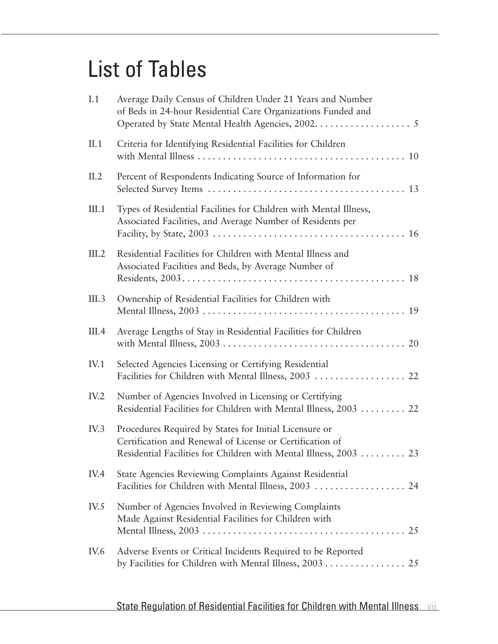### List of Tables

| I.1   | Average Daily Census of Children Under 21 Years and Number<br>of Beds in 24-hour Residential Care Organizations Funded and                                                              |
|-------|-----------------------------------------------------------------------------------------------------------------------------------------------------------------------------------------|
| II.1  | Criteria for Identifying Residential Facilities for Children                                                                                                                            |
| II.2  | Percent of Respondents Indicating Source of Information for                                                                                                                             |
| III.1 | Types of Residential Facilities for Children with Mental Illness,<br>Associated Facilities, and Average Number of Residents per                                                         |
| III.2 | Residential Facilities for Children with Mental Illness and<br>Associated Facilities and Beds, by Average Number of                                                                     |
| III.3 | Ownership of Residential Facilities for Children with                                                                                                                                   |
| III.4 | Average Lengths of Stay in Residential Facilities for Children                                                                                                                          |
| IV.1  | Selected Agencies Licensing or Certifying Residential<br>Facilities for Children with Mental Illness, 2003  22                                                                          |
| IV.2  | Number of Agencies Involved in Licensing or Certifying<br>Residential Facilities for Children with Mental Illness, 2003  22                                                             |
| IV.3  | Procedures Required by States for Initial Licensure or<br>Certification and Renewal of License or Certification of<br>Residential Facilities for Children with Mental Illness, 2003  23 |
| IV.4  | State Agencies Reviewing Complaints Against Residential<br>Facilities for Children with Mental Illness, 2003  24                                                                        |
| IV.5  | Number of Agencies Involved in Reviewing Complaints<br>Made Against Residential Facilities for Children with                                                                            |
| IV.6  | Adverse Events or Critical Incidents Required to be Reported<br>by Facilities for Children with Mental Illness, 2003 25                                                                 |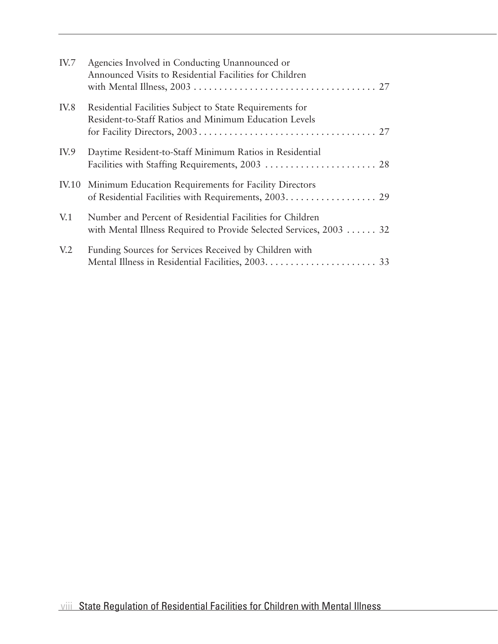| IV.7            | Agencies Involved in Conducting Unannounced or<br>Announced Visits to Residential Facilities for Children                        |
|-----------------|----------------------------------------------------------------------------------------------------------------------------------|
| IV.8            | Residential Facilities Subject to State Requirements for<br>Resident-to-Staff Ratios and Minimum Education Levels                |
| IV.9            | Daytime Resident-to-Staff Minimum Ratios in Residential                                                                          |
|                 | IV.10 Minimum Education Requirements for Facility Directors                                                                      |
| V.1             | Number and Percent of Residential Facilities for Children<br>with Mental Illness Required to Provide Selected Services, 2003  32 |
| V <sub>12</sub> | Funding Sources for Services Received by Children with                                                                           |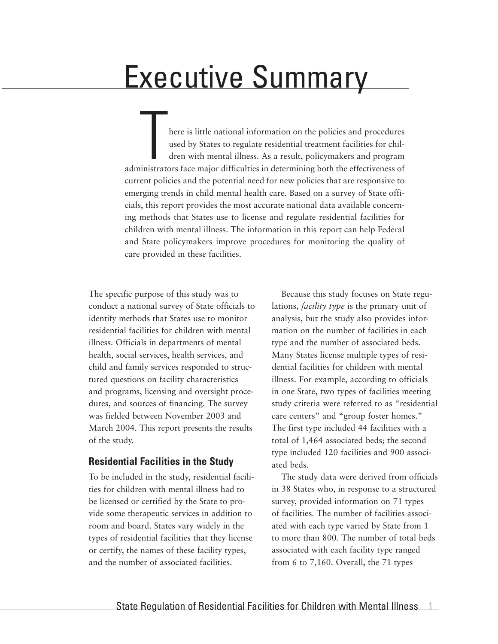### Executive Summary

here is little national information on the policies and procedures<br>used by States to regulate residential treatment facilities for chil-<br>dren with mental illness. As a result, policymakers and program<br>inistrators face majo used by States to regulate residential treatment facilities for children with mental illness. As a result, policymakers and program administrators face major difficulties in determining both the effectiveness of current policies and the potential need for new policies that are responsive to emerging trends in child mental health care. Based on a survey of State officials, this report provides the most accurate national data available concerning methods that States use to license and regulate residential facilities for children with mental illness. The information in this report can help Federal and State policymakers improve procedures for monitoring the quality of care provided in these facilities.

The specific purpose of this study was to conduct a national survey of State officials to identify methods that States use to monitor residential facilities for children with mental illness. Officials in departments of mental health, social services, health services, and child and family services responded to structured questions on facility characteristics and programs, licensing and oversight procedures, and sources of financing. The survey was fielded between November 2003 and March 2004. This report presents the results of the study.

#### **Residential Facilities in the Study**

To be included in the study, residential facilities for children with mental illness had to be licensed or certified by the State to provide some therapeutic services in addition to room and board. States vary widely in the types of residential facilities that they license or certify, the names of these facility types, and the number of associated facilities.

Because this study focuses on State regulations, *facility type* is the primary unit of analysis, but the study also provides information on the number of facilities in each type and the number of associated beds. Many States license multiple types of residential facilities for children with mental illness. For example, according to officials in one State, two types of facilities meeting study criteria were referred to as "residential care centers" and "group foster homes." The first type included 44 facilities with a total of 1,464 associated beds; the second type included 120 facilities and 900 associated beds.

The study data were derived from officials in 38 States who, in response to a structured survey, provided information on 71 types of facilities. The number of facilities associated with each type varied by State from 1 to more than 800. The number of total beds associated with each facility type ranged from 6 to 7,160. Overall, the 71 types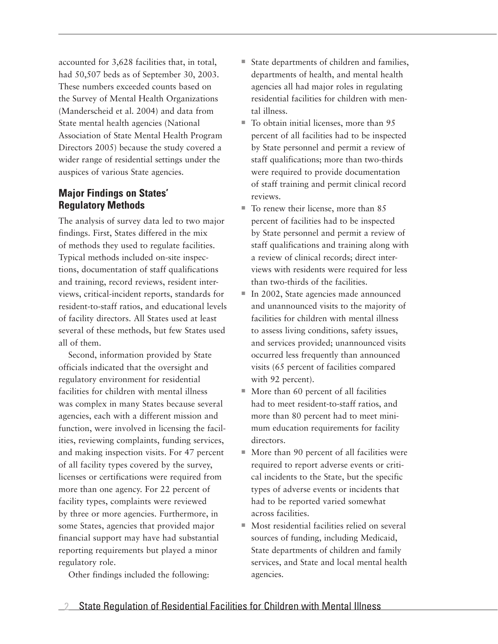accounted for 3,628 facilities that, in total, had 50,507 beds as of September 30, 2003. These numbers exceeded counts based on the Survey of Mental Health Organizations (Manderscheid et al. 2004) and data from State mental health agencies (National Association of State Mental Health Program Directors 2005) because the study covered a wider range of residential settings under the auspices of various State agencies.

#### **Major Findings on States' Regulatory Methods**

The analysis of survey data led to two major findings. First, States differed in the mix of methods they used to regulate facilities. Typical methods included on-site inspections, documentation of staff qualifications and training, record reviews, resident interviews, critical-incident reports, standards for resident-to-staff ratios, and educational levels of facility directors. All States used at least several of these methods, but few States used all of them.

Second, information provided by State officials indicated that the oversight and regulatory environment for residential facilities for children with mental illness was complex in many States because several agencies, each with a different mission and function, were involved in licensing the facilities, reviewing complaints, funding services, and making inspection visits. For 47 percent of all facility types covered by the survey, licenses or certifications were required from more than one agency. For 22 percent of facility types, complaints were reviewed by three or more agencies. Furthermore, in some States, agencies that provided major financial support may have had substantial reporting requirements but played a minor regulatory role.

Other findings included the following:

- State departments of children and families, departments of health, and mental health agencies all had major roles in regulating residential facilities for children with mental illness.
- $\blacksquare$  To obtain initial licenses, more than 95 percent of all facilities had to be inspected by State personnel and permit a review of staff qualifications; more than two-thirds were required to provide documentation of staff training and permit clinical record reviews.
- $\blacksquare$  To renew their license, more than 85 percent of facilities had to be inspected by State personnel and permit a review of staff qualifications and training along with a review of clinical records; direct interviews with residents were required for less than two-thirds of the facilities.
- In 2002, State agencies made announced and unannounced visits to the majority of facilities for children with mental illness to assess living conditions, safety issues, and services provided; unannounced visits occurred less frequently than announced visits (65 percent of facilities compared with 92 percent).
- $\blacksquare$  More than 60 percent of all facilities had to meet resident-to-staff ratios, and more than 80 percent had to meet minimum education requirements for facility directors.
- $\blacksquare$  More than 90 percent of all facilities were required to report adverse events or critical incidents to the State, but the specific types of adverse events or incidents that had to be reported varied somewhat across facilities.
- $\blacksquare$  Most residential facilities relied on several sources of funding, including Medicaid, State departments of children and family services, and State and local mental health agencies.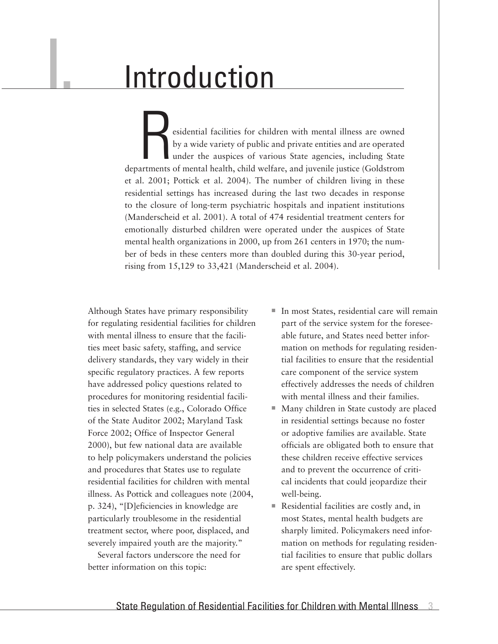### **Introduction**

I.

esidential facilities for children with mental illness are owned<br>by a wide variety of public and private entities and are operated<br>under the auspices of various State agencies, including State<br>artments of mental health, ch by a wide variety of public and private entities and are operated under the auspices of various State agencies, including State departments of mental health, child welfare, and juvenile justice (Goldstrom et al. 2001; Pottick et al. 2004). The number of children living in these residential settings has increased during the last two decades in response to the closure of long-term psychiatric hospitals and inpatient institutions (Manderscheid et al. 2001). A total of 474 residential treatment centers for emotionally disturbed children were operated under the auspices of State mental health organizations in 2000, up from 261 centers in 1970; the number of beds in these centers more than doubled during this 30-year period, rising from 15,129 to 33,421 (Manderscheid et al. 2004).

Although States have primary responsibility for regulating residential facilities for children with mental illness to ensure that the facilities meet basic safety, staffing, and service delivery standards, they vary widely in their specific regulatory practices. A few reports have addressed policy questions related to procedures for monitoring residential facilities in selected States (e.g., Colorado Office of the State Auditor 2002; Maryland Task Force 2002; Office of Inspector General 2000), but few national data are available to help policymakers understand the policies and procedures that States use to regulate residential facilities for children with mental illness. As Pottick and colleagues note (2004, p. 324), "[D]eficiencies in knowledge are particularly troublesome in the residential treatment sector, where poor, displaced, and severely impaired youth are the majority."

Several factors underscore the need for better information on this topic:

- In most States, residential care will remain part of the service system for the foreseeable future, and States need better information on methods for regulating residential facilities to ensure that the residential care component of the service system effectively addresses the needs of children with mental illness and their families.
- Many children in State custody are placed in residential settings because no foster or adoptive families are available. State officials are obligated both to ensure that these children receive effective services and to prevent the occurrence of critical incidents that could jeopardize their well-being.
- <sup>n</sup> Residential facilities are costly and, in most States, mental health budgets are sharply limited. Policymakers need information on methods for regulating residential facilities to ensure that public dollars are spent effectively.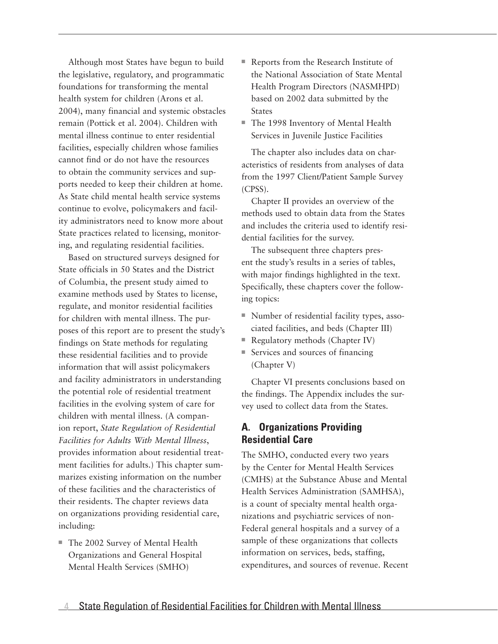Although most States have begun to build the legislative, regulatory, and programmatic foundations for transforming the mental health system for children (Arons et al. 2004), many financial and systemic obstacles remain (Pottick et al. 2004). Children with mental illness continue to enter residential facilities, especially children whose families cannot find or do not have the resources to obtain the community services and supports needed to keep their children at home. As State child mental health service systems continue to evolve, policymakers and facility administrators need to know more about State practices related to licensing, monitoring, and regulating residential facilities.

Based on structured surveys designed for State officials in 50 States and the District of Columbia, the present study aimed to examine methods used by States to license, regulate, and monitor residential facilities for children with mental illness. The purposes of this report are to present the study's findings on State methods for regulating these residential facilities and to provide information that will assist policymakers and facility administrators in understanding the potential role of residential treatment facilities in the evolving system of care for children with mental illness. (A companion report, *State Regulation of Residential Facilities for Adults With Mental Illness*, provides information about residential treatment facilities for adults.) This chapter summarizes existing information on the number of these facilities and the characteristics of their residents. The chapter reviews data on organizations providing residential care, including:

■ The 2002 Survey of Mental Health Organizations and General Hospital Mental Health Services (SMHO)

- Reports from the Research Institute of the National Association of State Mental Health Program Directors (NASMHPD) based on 2002 data submitted by the States
- The 1998 Inventory of Mental Health Services in Juvenile Justice Facilities

The chapter also includes data on characteristics of residents from analyses of data from the 1997 Client/Patient Sample Survey (CPSS).

Chapter II provides an overview of the methods used to obtain data from the States and includes the criteria used to identify residential facilities for the survey.

The subsequent three chapters present the study's results in a series of tables, with major findings highlighted in the text. Specifically, these chapters cover the following topics:

- Number of residential facility types, associated facilities, and beds (Chapter III)
- Regulatory methods (Chapter IV)
- $\blacksquare$  Services and sources of financing (Chapter V)

Chapter VI presents conclusions based on the findings. The Appendix includes the survey used to collect data from the States.

#### **A. Organizations Providing Residential Care**

The SMHO, conducted every two years by the Center for Mental Health Services (CMHS) at the Substance Abuse and Mental Health Services Administration (SAMHSA), is a count of specialty mental health organizations and psychiatric services of non-Federal general hospitals and a survey of a sample of these organizations that collects information on services, beds, staffing, expenditures, and sources of revenue. Recent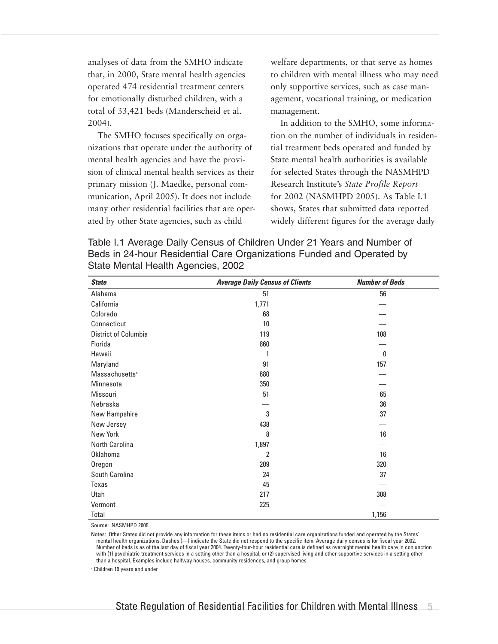analyses of data from the SMHO indicate that, in 2000, State mental health agencies operated 474 residential treatment centers for emotionally disturbed children, with a total of 33,421 beds (Manderscheid et al. 2004).

The SMHO focuses specifically on organizations that operate under the authority of mental health agencies and have the provision of clinical mental health services as their primary mission (J. Maedke, personal communication, April 2005). It does not include many other residential facilities that are operated by other State agencies, such as child

welfare departments, or that serve as homes to children with mental illness who may need only supportive services, such as case management, vocational training, or medication management.

In addition to the SMHO, some information on the number of individuals in residential treatment beds operated and funded by State mental health authorities is available for selected States through the NASMHPD Research Institute's *State Profile Report* for 2002 (NASMHPD 2005). As Table I.1 shows, States that submitted data reported widely different figures for the average daily

Table I.1 Average Daily Census of Children Under 21 Years and Number of Beds in 24-hour Residential Care Organizations Funded and Operated by State Mental Health Agencies, 2002

| <b>State</b>               | <b>Average Daily Census of Clients</b> | <b>Number of Beds</b> |
|----------------------------|----------------------------------------|-----------------------|
| Alabama                    | 51                                     | 56                    |
| California                 | 1,771                                  |                       |
| Colorado                   | 68                                     |                       |
| Connecticut                | 10                                     |                       |
| District of Columbia       | 119                                    | 108                   |
| Florida                    | 860                                    |                       |
| Hawaii                     | 1                                      | 0                     |
| Maryland                   | 91                                     | 157                   |
| Massachusetts <sup>a</sup> | 680                                    |                       |
| Minnesota                  | 350                                    |                       |
| Missouri                   | 51                                     | 65                    |
| Nebraska                   |                                        | 36                    |
| New Hampshire              | 3                                      | 37                    |
| New Jersey                 | 438                                    |                       |
| New York                   | 8                                      | 16                    |
| North Carolina             | 1,897                                  |                       |
| Oklahoma                   | $\overline{2}$                         | 16                    |
| Oregon                     | 209                                    | 320                   |
| South Carolina             | 24                                     | 37                    |
| Texas                      | 45                                     |                       |
| Utah                       | 217                                    | 308                   |
| Vermont                    | 225                                    |                       |
| Total                      |                                        | 1,156                 |

Source: NASMHPD 2005

Notes: Other States did not provide any information for these items or had no residential care organizations funded and operated by the States' mental health organizations. Dashes (—) indicate the State did not respond to the specific item. Average daily census is for fiscal year 2002. Number of beds is as of the last day of fiscal year 2004. Twenty-four-hour residential care is defined as overnight mental health care in conjunction with (1) psychiatric treatment services in a setting other than a hospital, or (2) supervised living and other supportive services in a setting other than a hospital. Examples include halfway houses, community residences, and group homes.

<sup>a</sup> Children 19 years and under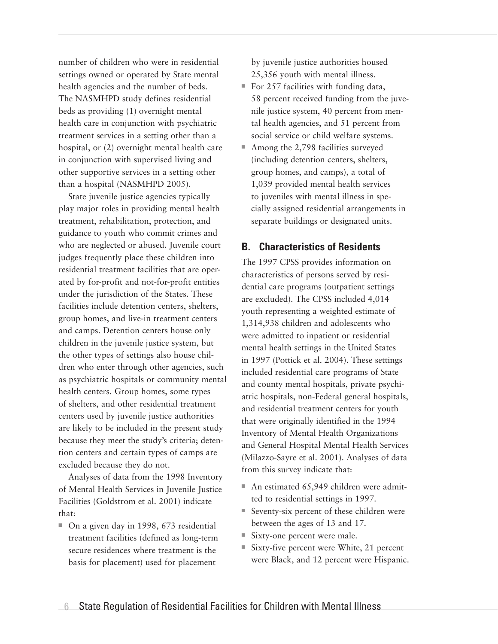number of children who were in residential settings owned or operated by State mental health agencies and the number of beds. The NASMHPD study defines residential beds as providing (1) overnight mental health care in conjunction with psychiatric treatment services in a setting other than a hospital, or (2) overnight mental health care in conjunction with supervised living and other supportive services in a setting other than a hospital (NASMHPD 2005).

State juvenile justice agencies typically play major roles in providing mental health treatment, rehabilitation, protection, and guidance to youth who commit crimes and who are neglected or abused. Juvenile court judges frequently place these children into residential treatment facilities that are operated by for-profit and not-for-profit entities under the jurisdiction of the States. These facilities include detention centers, shelters, group homes, and live-in treatment centers and camps. Detention centers house only children in the juvenile justice system, but the other types of settings also house children who enter through other agencies, such as psychiatric hospitals or community mental health centers. Group homes, some types of shelters, and other residential treatment centers used by juvenile justice authorities are likely to be included in the present study because they meet the study's criteria; detention centers and certain types of camps are excluded because they do not.

Analyses of data from the 1998 Inventory of Mental Health Services in Juvenile Justice Facilities (Goldstrom et al. 2001) indicate that:

 $\blacksquare$  On a given day in 1998, 673 residential treatment facilities (defined as long-term secure residences where treatment is the basis for placement) used for placement

by juvenile justice authorities housed 25,356 youth with mental illness.

- For 257 facilities with funding data, 58 percent received funding from the juvenile justice system, 40 percent from mental health agencies, and 51 percent from social service or child welfare systems.
- $\blacksquare$  Among the 2,798 facilities surveyed (including detention centers, shelters, group homes, and camps), a total of 1,039 provided mental health services to juveniles with mental illness in specially assigned residential arrangements in separate buildings or designated units.

#### **B. Characteristics of Residents**

The 1997 CPSS provides information on characteristics of persons served by residential care programs (outpatient settings are excluded). The CPSS included 4,014 youth representing a weighted estimate of 1,314,938 children and adolescents who were admitted to inpatient or residential mental health settings in the United States in 1997 (Pottick et al. 2004). These settings included residential care programs of State and county mental hospitals, private psychiatric hospitals, non-Federal general hospitals, and residential treatment centers for youth that were originally identified in the 1994 Inventory of Mental Health Organizations and General Hospital Mental Health Services (Milazzo-Sayre et al. 2001). Analyses of data from this survey indicate that:

- $\blacksquare$  An estimated 65,949 children were admitted to residential settings in 1997.
- $\blacksquare$  Seventy-six percent of these children were between the ages of 13 and 17.
- Sixty-one percent were male.
- $\blacksquare$  Sixty-five percent were White, 21 percent were Black, and 12 percent were Hispanic.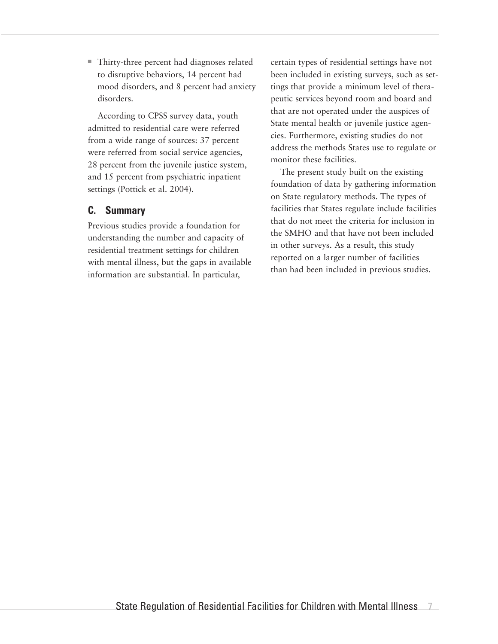■ Thirty-three percent had diagnoses related to disruptive behaviors, 14 percent had mood disorders, and 8 percent had anxiety disorders.

According to CPSS survey data, youth admitted to residential care were referred from a wide range of sources: 37 percent were referred from social service agencies, 28 percent from the juvenile justice system, and 15 percent from psychiatric inpatient settings (Pottick et al. 2004).

#### **C. Summary**

Previous studies provide a foundation for understanding the number and capacity of residential treatment settings for children with mental illness, but the gaps in available information are substantial. In particular,

certain types of residential settings have not been included in existing surveys, such as settings that provide a minimum level of therapeutic services beyond room and board and that are not operated under the auspices of State mental health or juvenile justice agencies. Furthermore, existing studies do not address the methods States use to regulate or monitor these facilities.

The present study built on the existing foundation of data by gathering information on State regulatory methods. The types of facilities that States regulate include facilities that do not meet the criteria for inclusion in the SMHO and that have not been included in other surveys. As a result, this study reported on a larger number of facilities than had been included in previous studies.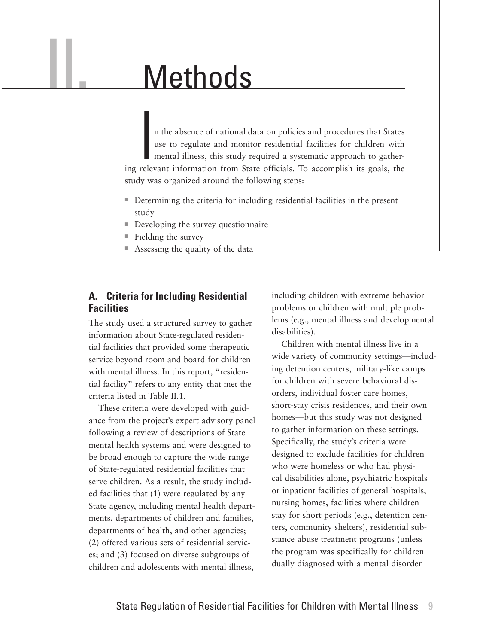### Methods

In the absence of national data on policies and procedures that States<br>use to regulate and monitor residential facilities for children with<br>mental illness, this study required a systematic approach to gather-<br>ing relevant n the absence of national data on policies and procedures that States use to regulate and monitor residential facilities for children with mental illness, this study required a systematic approach to gatherstudy was organized around the following steps:

- Determining the criteria for including residential facilities in the present study
- $\blacksquare$  Developing the survey questionnaire
- $\blacksquare$  Fielding the survey

II.

 $\blacksquare$  Assessing the quality of the data

#### **A. Criteria for Including Residential Facilities**

The study used a structured survey to gather information about State-regulated residential facilities that provided some therapeutic service beyond room and board for children with mental illness. In this report, "residential facility" refers to any entity that met the criteria listed in Table II.1.

These criteria were developed with guidance from the project's expert advisory panel following a review of descriptions of State mental health systems and were designed to be broad enough to capture the wide range of State-regulated residential facilities that serve children. As a result, the study included facilities that (1) were regulated by any State agency, including mental health departments, departments of children and families, departments of health, and other agencies; (2) offered various sets of residential services; and (3) focused on diverse subgroups of children and adolescents with mental illness,

including children with extreme behavior problems or children with multiple problems (e.g., mental illness and developmental disabilities).

Children with mental illness live in a wide variety of community settings—including detention centers, military-like camps for children with severe behavioral disorders, individual foster care homes, short-stay crisis residences, and their own homes—but this study was not designed to gather information on these settings. Specifically, the study's criteria were designed to exclude facilities for children who were homeless or who had physical disabilities alone, psychiatric hospitals or inpatient facilities of general hospitals, nursing homes, facilities where children stay for short periods (e.g., detention centers, community shelters), residential substance abuse treatment programs (unless the program was specifically for children dually diagnosed with a mental disorder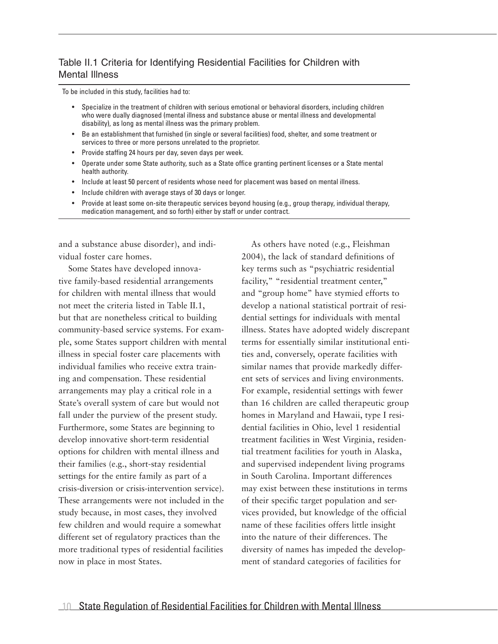#### Table II.1 Criteria for Identifying Residential Facilities for Children with Mental Illness

To be included in this study, facilities had to:

- Specialize in the treatment of children with serious emotional or behavioral disorders, including children who were dually diagnosed (mental illness and substance abuse or mental illness and developmental disability), as long as mental illness was the primary problem. •
- Be an establishment that furnished (in single or several facilities) food, shelter, and some treatment or services to three or more persons unrelated to the proprietor. •
- Provide staffing 24 hours per day, seven days per week. •
- Operate under some State authority, such as a State office granting pertinent licenses or a State mental health authority. •
- Include at least 50 percent of residents whose need for placement was based on mental illness. •
- Include children with average stays of 30 days or longer. •
- Provide at least some on-site therapeutic services beyond housing (e.g., group therapy, individual therapy, medication management, and so forth) either by staff or under contract. •

and a substance abuse disorder), and individual foster care homes.

Some States have developed innovative family-based residential arrangements for children with mental illness that would not meet the criteria listed in Table II.1, but that are nonetheless critical to building community-based service systems. For example, some States support children with mental illness in special foster care placements with individual families who receive extra training and compensation. These residential arrangements may play a critical role in a State's overall system of care but would not fall under the purview of the present study. Furthermore, some States are beginning to develop innovative short-term residential options for children with mental illness and their families (e.g., short-stay residential settings for the entire family as part of a crisis-diversion or crisis-intervention service). These arrangements were not included in the study because, in most cases, they involved few children and would require a somewhat different set of regulatory practices than the more traditional types of residential facilities now in place in most States.

As others have noted (e.g., Fleishman 2004), the lack of standard definitions of key terms such as "psychiatric residential facility," "residential treatment center," and "group home" have stymied efforts to develop a national statistical portrait of residential settings for individuals with mental illness. States have adopted widely discrepant terms for essentially similar institutional entities and, conversely, operate facilities with similar names that provide markedly different sets of services and living environments. For example, residential settings with fewer than 16 children are called therapeutic group homes in Maryland and Hawaii, type I residential facilities in Ohio, level 1 residential treatment facilities in West Virginia, residential treatment facilities for youth in Alaska, and supervised independent living programs in South Carolina. Important differences may exist between these institutions in terms of their specific target population and services provided, but knowledge of the official name of these facilities offers little insight into the nature of their differences. The diversity of names has impeded the development of standard categories of facilities for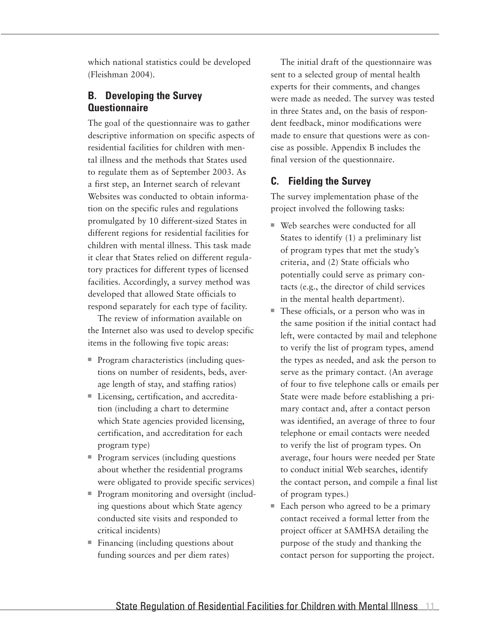which national statistics could be developed (Fleishman 2004).

#### **B. Developing the Survey Questionnaire**

The goal of the questionnaire was to gather descriptive information on specific aspects of residential facilities for children with mental illness and the methods that States used to regulate them as of September 2003. As a first step, an Internet search of relevant Websites was conducted to obtain information on the specific rules and regulations promulgated by 10 different-sized States in different regions for residential facilities for children with mental illness. This task made it clear that States relied on different regulatory practices for different types of licensed facilities. Accordingly, a survey method was developed that allowed State officials to respond separately for each type of facility.

The review of information available on the Internet also was used to develop specific items in the following five topic areas:

- Program characteristics (including questions on number of residents, beds, average length of stay, and staffing ratios)
- Licensing, certification, and accreditation (including a chart to determine which State agencies provided licensing, certification, and accreditation for each program type)
- $\blacksquare$  Program services (including questions about whether the residential programs were obligated to provide specific services)
- Program monitoring and oversight (including questions about which State agency conducted site visits and responded to critical incidents)
- $\blacksquare$  Financing (including questions about funding sources and per diem rates)

The initial draft of the questionnaire was sent to a selected group of mental health experts for their comments, and changes were made as needed. The survey was tested in three States and, on the basis of respondent feedback, minor modifications were made to ensure that questions were as concise as possible. Appendix B includes the final version of the questionnaire.

#### **C. Fielding the Survey**

The survey implementation phase of the project involved the following tasks:

- $\blacksquare$  Web searches were conducted for all States to identify (1) a preliminary list of program types that met the study's criteria, and (2) State officials who potentially could serve as primary contacts (e.g., the director of child services in the mental health department).
- $\blacksquare$  These officials, or a person who was in the same position if the initial contact had left, were contacted by mail and telephone to verify the list of program types, amend the types as needed, and ask the person to serve as the primary contact. (An average of four to five telephone calls or emails per State were made before establishing a primary contact and, after a contact person was identified, an average of three to four telephone or email contacts were needed to verify the list of program types. On average, four hours were needed per State to conduct initial Web searches, identify the contact person, and compile a final list of program types.)
- $\blacksquare$  Each person who agreed to be a primary contact received a formal letter from the project officer at SAMHSA detailing the purpose of the study and thanking the contact person for supporting the project.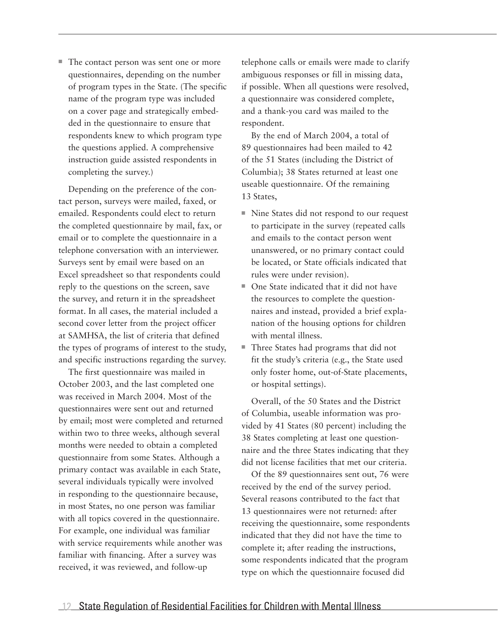$\blacksquare$  The contact person was sent one or more questionnaires, depending on the number of program types in the State. (The specific name of the program type was included on a cover page and strategically embedded in the questionnaire to ensure that respondents knew to which program type the questions applied. A comprehensive instruction guide assisted respondents in completing the survey.)

Depending on the preference of the contact person, surveys were mailed, faxed, or emailed. Respondents could elect to return the completed questionnaire by mail, fax, or email or to complete the questionnaire in a telephone conversation with an interviewer. Surveys sent by email were based on an Excel spreadsheet so that respondents could reply to the questions on the screen, save the survey, and return it in the spreadsheet format. In all cases, the material included a second cover letter from the project officer at SAMHSA, the list of criteria that defined the types of programs of interest to the study, and specific instructions regarding the survey.

The first questionnaire was mailed in October 2003, and the last completed one was received in March 2004. Most of the questionnaires were sent out and returned by email; most were completed and returned within two to three weeks, although several months were needed to obtain a completed questionnaire from some States. Although a primary contact was available in each State, several individuals typically were involved in responding to the questionnaire because, in most States, no one person was familiar with all topics covered in the questionnaire. For example, one individual was familiar with service requirements while another was familiar with financing. After a survey was received, it was reviewed, and follow-up

telephone calls or emails were made to clarify ambiguous responses or fill in missing data, if possible. When all questions were resolved, a questionnaire was considered complete, and a thank-you card was mailed to the respondent.

By the end of March 2004, a total of 89 questionnaires had been mailed to 42 of the 51 States (including the District of Columbia); 38 States returned at least one useable questionnaire. Of the remaining 13 States,

- Nine States did not respond to our request to participate in the survey (repeated calls and emails to the contact person went unanswered, or no primary contact could be located, or State officials indicated that rules were under revision).
- One State indicated that it did not have the resources to complete the questionnaires and instead, provided a brief explanation of the housing options for children with mental illness.
- $\blacksquare$  Three States had programs that did not fit the study's criteria (e.g., the State used only foster home, out-of-State placements, or hospital settings).

Overall, of the 50 States and the District of Columbia, useable information was provided by 41 States (80 percent) including the 38 States completing at least one questionnaire and the three States indicating that they did not license facilities that met our criteria.

Of the 89 questionnaires sent out, 76 were received by the end of the survey period. Several reasons contributed to the fact that 13 questionnaires were not returned: after receiving the questionnaire, some respondents indicated that they did not have the time to complete it; after reading the instructions, some respondents indicated that the program type on which the questionnaire focused did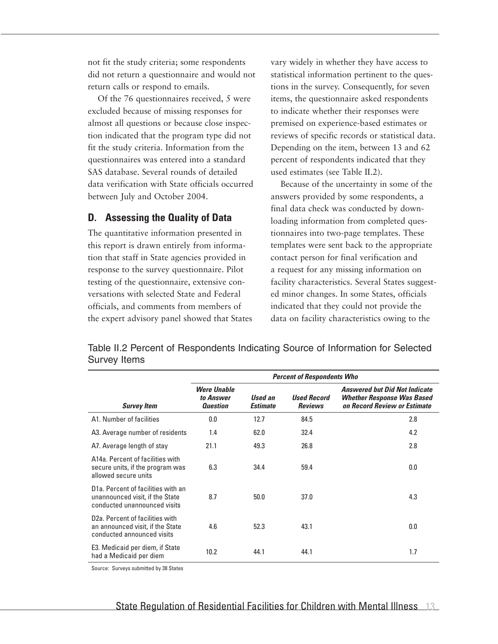not fit the study criteria; some respondents did not return a questionnaire and would not return calls or respond to emails.

Of the 76 questionnaires received, 5 were excluded because of missing responses for almost all questions or because close inspection indicated that the program type did not fit the study criteria. Information from the questionnaires was entered into a standard SAS database. Several rounds of detailed data verification with State officials occurred between July and October 2004.

#### **D. Assessing the Quality of Data**

The quantitative information presented in this report is drawn entirely from information that staff in State agencies provided in response to the survey questionnaire. Pilot testing of the questionnaire, extensive conversations with selected State and Federal officials, and comments from members of the expert advisory panel showed that States vary widely in whether they have access to statistical information pertinent to the questions in the survey. Consequently, for seven items, the questionnaire asked respondents to indicate whether their responses were premised on experience-based estimates or reviews of specific records or statistical data. Depending on the item, between 13 and 62 percent of respondents indicated that they used estimates (see Table II.2).

Because of the uncertainty in some of the answers provided by some respondents, a final data check was conducted by downloading information from completed questionnaires into two-page templates. These templates were sent back to the appropriate contact person for final verification and a request for any missing information on facility characteristics. Several States suggested minor changes. In some States, officials indicated that they could not provide the data on facility characteristics owing to the

Table II.2 Percent of Respondents Indicating Source of Information for Selected Survey Items

|                                                                                                                    | <b>Percent of Respondents Who</b>                  |                            |                                      |                                                                                                           |  |  |  |
|--------------------------------------------------------------------------------------------------------------------|----------------------------------------------------|----------------------------|--------------------------------------|-----------------------------------------------------------------------------------------------------------|--|--|--|
| <b>Survey Item</b>                                                                                                 | <b>Were Unable</b><br>to Answer<br><b>Question</b> | Used an<br><b>Estimate</b> | <b>Used Record</b><br><b>Reviews</b> | <b>Answered but Did Not Indicate</b><br><b>Whether Response Was Based</b><br>on Record Review or Estimate |  |  |  |
| A1. Number of facilities                                                                                           | 0.0                                                | 12.7                       | 84.5                                 | 2.8                                                                                                       |  |  |  |
| A3. Average number of residents                                                                                    | 1.4                                                | 62.0                       | 32.4                                 | 4.2                                                                                                       |  |  |  |
| A7. Average length of stay                                                                                         | 21.1                                               | 49.3                       | 26.8                                 | 2.8                                                                                                       |  |  |  |
| A14a. Percent of facilities with<br>secure units, if the program was<br>allowed secure units                       | 6.3                                                | 34.4                       | 59.4                                 | 0.0                                                                                                       |  |  |  |
| D <sub>1</sub> a. Percent of facilities with an<br>unannounced visit, if the State<br>conducted unannounced visits | 8.7                                                | 50.0                       | 37.0                                 | 4.3                                                                                                       |  |  |  |
| D <sub>2</sub> a. Percent of facilities with<br>an announced visit, if the State<br>conducted announced visits     | 4.6                                                | 52.3                       | 43.1                                 | 0.0                                                                                                       |  |  |  |
| E3. Medicaid per diem, if State<br>had a Medicaid per diem                                                         | 10.2                                               | 44.1                       | 44.1                                 | 1.7                                                                                                       |  |  |  |

Source: Surveys submitted by 38 States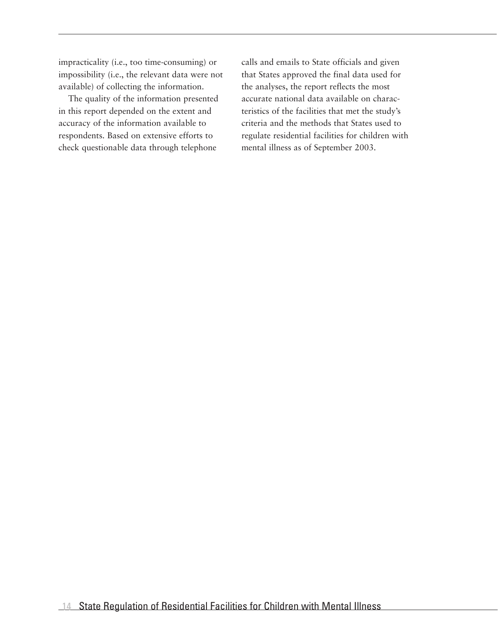impracticality (i.e., too time-consuming) or impossibility (i.e., the relevant data were not available) of collecting the information.

The quality of the information presented in this report depended on the extent and accuracy of the information available to respondents. Based on extensive efforts to check questionable data through telephone

calls and emails to State officials and given that States approved the final data used for the analyses, the report reflects the most accurate national data available on characteristics of the facilities that met the study's criteria and the methods that States used to regulate residential facilities for children with mental illness as of September 2003.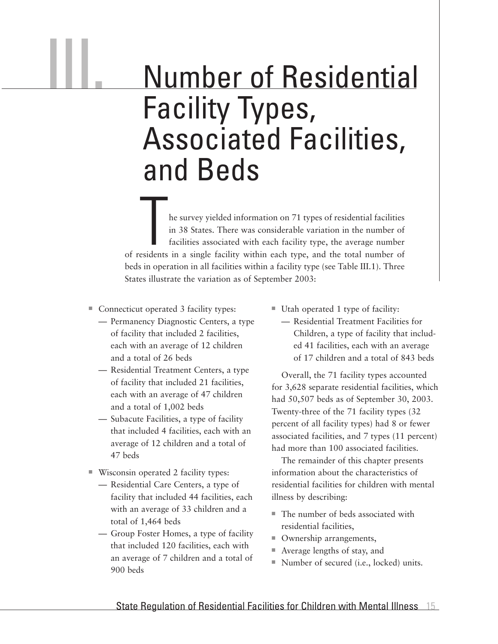### Number of Residential Facility Types, Associated Facilities, and Beds

he survey yielded information on 71 types of residential facilities in 38 States. There was considerable variation in the number of facilities associated with each facility type, the average number of residents in a single facility within each type, and the total number of beds in operation in all facilities within a facility type (see Table III.1). Three States illustrate the variation as of September 2003:

■ Connecticut operated 3 facility types:

III.

- Permanency Diagnostic Centers, a type of facility that included 2 facilities, each with an average of 12 children and a total of 26 beds
- Residential Treatment Centers, a type of facility that included 21 facilities, each with an average of 47 children and a total of 1,002 beds
- Subacute Facilities, a type of facility that included 4 facilities, each with an average of 12 children and a total of 47 beds
- Wisconsin operated 2 facility types:
	- Residential Care Centers, a type of facility that included 44 facilities, each with an average of 33 children and a total of 1,464 beds
	- Group Foster Homes, a type of facility that included 120 facilities, each with an average of 7 children and a total of 900 beds
- $\blacksquare$  Utah operated 1 type of facility:
	- Residential Treatment Facilities for Children, a type of facility that included 41 facilities, each with an average of 17 children and a total of 843 beds

Overall, the 71 facility types accounted for 3,628 separate residential facilities, which had 50,507 beds as of September 30, 2003. Twenty-three of the 71 facility types (32 percent of all facility types) had 8 or fewer associated facilities, and 7 types (11 percent) had more than 100 associated facilities.

The remainder of this chapter presents information about the characteristics of residential facilities for children with mental illness by describing:

- $\blacksquare$  The number of beds associated with residential facilities,
- Ownership arrangements,
- $\blacksquare$  Average lengths of stay, and
- Number of secured (i.e., locked) units.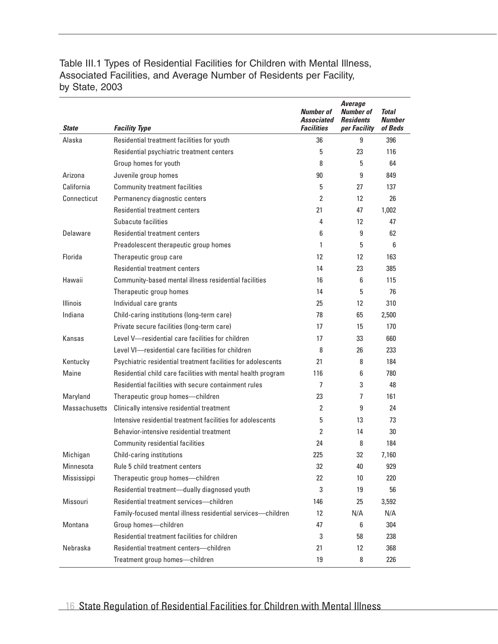Table III.1 Types of Residential Facilities for Children with Mental Illness, Associated Facilities, and Average Number of Residents per Facility, by State, 2003

| <b>State</b>         | <b>Facility Type</b>                                         | Number of<br><b>Associated</b><br><b>Facilities</b> | <b>Average</b><br><b>Number of</b><br><b>Residents</b><br>per Facility | Total<br><b>Number</b><br>of Beds |
|----------------------|--------------------------------------------------------------|-----------------------------------------------------|------------------------------------------------------------------------|-----------------------------------|
| Alaska               | Residential treatment facilities for youth                   | 36                                                  | 9                                                                      | 396                               |
|                      | Residential psychiatric treatment centers                    | 5                                                   | 23                                                                     | 116                               |
|                      | Group homes for youth                                        | 8                                                   | 5                                                                      | 64                                |
| Arizona              | Juvenile group homes                                         | 90                                                  | 9                                                                      | 849                               |
| California           | <b>Community treatment facilities</b>                        | 5                                                   | 27                                                                     | 137                               |
| Connecticut          | Permanency diagnostic centers                                | 2                                                   | 12                                                                     | 26                                |
|                      | <b>Residential treatment centers</b>                         | 21                                                  | 47                                                                     | 1,002                             |
|                      | Subacute facilities                                          | 4                                                   | 12                                                                     | 47                                |
| Delaware             | <b>Residential treatment centers</b>                         | 6                                                   | 9                                                                      | 62                                |
|                      | Preadolescent therapeutic group homes                        | 1                                                   | 5                                                                      | 6                                 |
| Florida              | Therapeutic group care                                       | 12                                                  | 12                                                                     | 163                               |
|                      | Residential treatment centers                                | 14                                                  | 23                                                                     | 385                               |
| Hawaii               | Community-based mental illness residential facilities        | 16                                                  | 6                                                                      | 115                               |
|                      | Therapeutic group homes                                      | 14                                                  | 5                                                                      | 76                                |
| <b>Illinois</b>      | Individual care grants                                       | 25                                                  | 12                                                                     | 310                               |
| Indiana              | Child-caring institutions (long-term care)                   | 78                                                  | 65                                                                     | 2,500                             |
|                      | Private secure facilities (long-term care)                   | 17                                                  | 15                                                                     | 170                               |
| Kansas               | Level V-residential care facilities for children             | 17                                                  | 33                                                                     | 660                               |
|                      | Level VI—residential care facilities for children            | 8                                                   | 26                                                                     | 233                               |
| Kentucky             | Psychiatric residential treatment facilities for adolescents | 21                                                  | 8                                                                      | 184                               |
| Maine                | Residential child care facilities with mental health program | 116                                                 | 6                                                                      | 780                               |
|                      | Residential facilities with secure containment rules         | 7                                                   | 3                                                                      | 48                                |
| Maryland             | Therapeutic group homes-children                             | 23                                                  | 7                                                                      | 161                               |
| <b>Massachusetts</b> | Clinically intensive residential treatment                   | $\overline{2}$                                      | 9                                                                      | 24                                |
|                      | Intensive residential treatment facilities for adolescents   | 5                                                   | 13                                                                     | 73                                |
|                      | Behavior-intensive residential treatment                     | 2                                                   | 14                                                                     | 30                                |
|                      | <b>Community residential facilities</b>                      | 24                                                  | 8                                                                      | 184                               |
| Michigan             | Child-caring institutions                                    | 225                                                 | 32                                                                     | 7,160                             |
| Minnesota            | Rule 5 child treatment centers                               | 32                                                  | 40                                                                     | 929                               |
| Mississippi          | Therapeutic group homes-children                             | 22                                                  | 10                                                                     | 220                               |
|                      | Residential treatment-dually diagnosed youth                 | 3                                                   | 19                                                                     | 56                                |
| Missouri             | Residential treatment services-children                      | 146                                                 | 25                                                                     | 3,592                             |
|                      | Family-focused mental illness residential services-children  | 12                                                  | N/A                                                                    | N/A                               |
| Montana              | Group homes-children                                         | 47                                                  | 6                                                                      | 304                               |
|                      | Residential treatment facilities for children                | 3                                                   | 58                                                                     | 238                               |
| Nebraska             | Residential treatment centers-children                       | 21                                                  | 12                                                                     | 368                               |
|                      | Treatment group homes-children                               | 19                                                  | 8                                                                      | 226                               |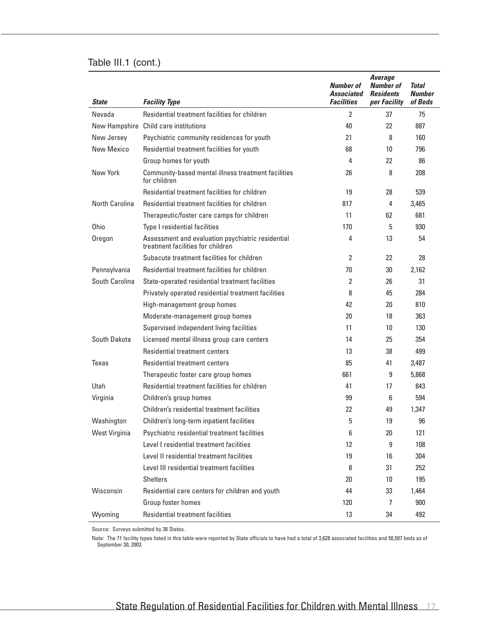#### Table III.1 (cont.)

| <b>State</b>   | <b>Facility Type</b>                                                                   | <b>Number of</b><br>Associated<br><b>Facilities</b> | <b>Average</b><br><b>Number of</b><br><b>Residents</b><br>per Facility | <b>Total</b><br><b>Number</b><br>of Beds |
|----------------|----------------------------------------------------------------------------------------|-----------------------------------------------------|------------------------------------------------------------------------|------------------------------------------|
| Nevada         | Residential treatment facilities for children                                          | 2                                                   | 37                                                                     | 75                                       |
| New Hampshire  | Child care institutions                                                                | 40                                                  | 22                                                                     | 887                                      |
| New Jersey     | Psychiatric community residences for youth                                             | 21                                                  | 8                                                                      | 160                                      |
| New Mexico     | Residential treatment facilities for youth                                             | 68                                                  | 10                                                                     | 796                                      |
|                | Group homes for youth                                                                  | 4                                                   | 22                                                                     | 86                                       |
| New York       | Community-based mental illness treatment facilities<br>for children                    | 26                                                  | 8                                                                      | 208                                      |
|                | Residential treatment facilities for children                                          | 19                                                  | 28                                                                     | 539                                      |
| North Carolina | Residential treatment facilities for children                                          | 817                                                 | 4                                                                      | 3,465                                    |
|                | Therapeutic/foster care camps for children                                             | 11                                                  | 62                                                                     | 681                                      |
| 0hio           | Type I residential facilities                                                          | 170                                                 | 5                                                                      | 930                                      |
| Oregon         | Assessment and evaluation psychiatric residential<br>treatment facilities for children | 4                                                   | 13                                                                     | 54                                       |
|                | Subacute treatment facilities for children                                             | $\overline{2}$                                      | 22                                                                     | 28                                       |
| Pennsylvania   | Residential treatment facilities for children                                          | 70                                                  | 30                                                                     | 2,162                                    |
| South Carolina | State-operated residential treatment facilities                                        | 2                                                   | 26                                                                     | 31                                       |
|                | Privately operated residential treatment facilities                                    | 8                                                   | 45                                                                     | 284                                      |
|                | High-management group homes                                                            | 42                                                  | 20                                                                     | 810                                      |
|                | Moderate-management group homes                                                        | 20                                                  | 18                                                                     | 363                                      |
|                | Supervised independent living facilities                                               | 11                                                  | 10                                                                     | 130                                      |
| South Dakota   | Licensed mental illness group care centers                                             | 14                                                  | 25                                                                     | 354                                      |
|                | Residential treatment centers                                                          | 13                                                  | 38                                                                     | 499                                      |
| Texas          | Residential treatment centers                                                          | 85                                                  | 41                                                                     | 3,487                                    |
|                | Therapeutic foster care group homes                                                    | 661                                                 | 9                                                                      | 5,868                                    |
| Utah           | Residential treatment facilities for children                                          | 41                                                  | 17                                                                     | 843                                      |
| Virginia       | Children's group homes                                                                 | 99                                                  | 6                                                                      | 594                                      |
|                | Children's residential treatment facilities                                            | 22                                                  | 49                                                                     | 1,347                                    |
| Washington     | Children's long-term inpatient facilities                                              | 5                                                   | 19                                                                     | 96                                       |
| West Virginia  | Psychiatric residential treatment facilities                                           | 6                                                   | 20                                                                     | 121                                      |
|                | Level I residential treatment facilities                                               | 12                                                  | 9                                                                      | 108                                      |
|                | Level II residential treatment facilities                                              | 19                                                  | 16                                                                     | 304                                      |
|                | Level III residential treatment facilities                                             | 8                                                   | 31                                                                     | 252                                      |
|                | <b>Shelters</b>                                                                        | 20                                                  | 10                                                                     | 195                                      |
| Wisconsin      | Residential care centers for children and youth                                        | 44                                                  | 33                                                                     | 1,464                                    |
|                | Group foster homes                                                                     | 120                                                 | 7                                                                      | 900                                      |
| Wyoming        | <b>Residential treatment facilities</b>                                                | 13                                                  | 34                                                                     | 492                                      |

Source: Surveys submitted by 38 States.

Note: The 71 facility types listed in this table were reported by State officials to have had a total of 3,628 associated facilities and 50,507 beds as of September 30, 2003.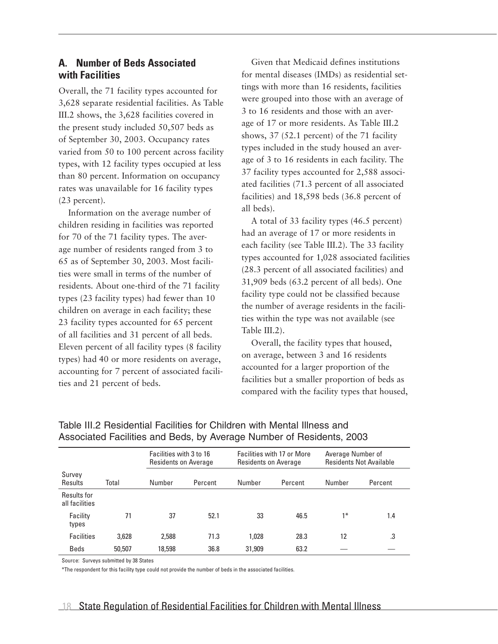#### **A. Number of Beds Associated with Facilities**

Overall, the 71 facility types accounted for 3,628 separate residential facilities. As Table III.2 shows, the 3,628 facilities covered in the present study included 50,507 beds as of September 30, 2003. Occupancy rates varied from 50 to 100 percent across facility types, with 12 facility types occupied at less than 80 percent. Information on occupancy rates was unavailable for 16 facility types (23 percent).

Information on the average number of children residing in facilities was reported for 70 of the 71 facility types. The average number of residents ranged from 3 to 65 as of September 30, 2003. Most facilities were small in terms of the number of residents. About one-third of the 71 facility types (23 facility types) had fewer than 10 children on average in each facility; these 23 facility types accounted for 65 percent of all facilities and 31 percent of all beds. Eleven percent of all facility types (8 facility types) had 40 or more residents on average, accounting for 7 percent of associated facilities and 21 percent of beds.

Given that Medicaid defines institutions for mental diseases (IMDs) as residential settings with more than 16 residents, facilities were grouped into those with an average of 3 to 16 residents and those with an average of 17 or more residents. As Table III.2 shows, 37 (52.1 percent) of the 71 facility types included in the study housed an average of 3 to 16 residents in each facility. The 37 facility types accounted for 2,588 associated facilities (71.3 percent of all associated facilities) and 18,598 beds (36.8 percent of all beds).

A total of 33 facility types (46.5 percent) had an average of 17 or more residents in each facility (see Table III.2). The 33 facility types accounted for 1,028 associated facilities (28.3 percent of all associated facilities) and 31,909 beds (63.2 percent of all beds). One facility type could not be classified because the number of average residents in the facilities within the type was not available (see Table III.2).

Overall, the facility types that housed, on average, between 3 and 16 residents accounted for a larger proportion of the facilities but a smaller proportion of beds as compared with the facility types that housed,

|                               |        | Facilities with 3 to 16<br><b>Residents on Average</b> |         |        | Facilities with 17 or More<br>Residents on Average |        | Average Number of<br><b>Residents Not Available</b> |  |
|-------------------------------|--------|--------------------------------------------------------|---------|--------|----------------------------------------------------|--------|-----------------------------------------------------|--|
| Survey<br>Results             | Total  | Number                                                 | Percent | Number | Percent                                            | Number | Percent                                             |  |
| Results for<br>all facilities |        |                                                        |         |        |                                                    |        |                                                     |  |
| Facility<br>types             | 71     | 37                                                     | 52.1    | 33     | 46.5                                               | $1*$   | 1.4                                                 |  |
| <b>Facilities</b>             | 3,628  | 2,588                                                  | 71.3    | 1.028  | 28.3                                               | 12     | .3                                                  |  |
| Beds                          | 50,507 | 18,598                                                 | 36.8    | 31,909 | 63.2                                               |        |                                                     |  |

Table III.2 Residential Facilities for Children with Mental Illness and Associated Facilities and Beds, by Average Number of Residents, 2003

Source: Surveys submitted by 38 States

\*The respondent for this facility type could not provide the number of beds in the associated facilities.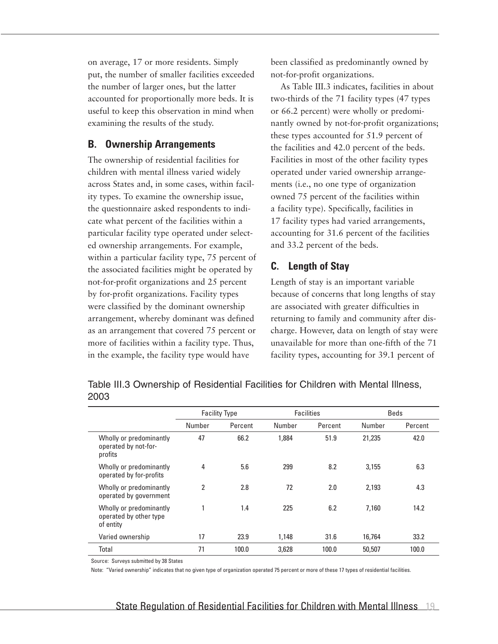on average, 17 or more residents. Simply put, the number of smaller facilities exceeded the number of larger ones, but the latter accounted for proportionally more beds. It is useful to keep this observation in mind when examining the results of the study.

#### **B. Ownership Arrangements**

The ownership of residential facilities for children with mental illness varied widely across States and, in some cases, within facility types. To examine the ownership issue, the questionnaire asked respondents to indicate what percent of the facilities within a particular facility type operated under selected ownership arrangements. For example, within a particular facility type, 75 percent of the associated facilities might be operated by not-for-profit organizations and 25 percent by for-profit organizations. Facility types were classified by the dominant ownership arrangement, whereby dominant was defined as an arrangement that covered 75 percent or more of facilities within a facility type. Thus, in the example, the facility type would have

been classified as predominantly owned by not-for-profit organizations.

As Table III.3 indicates, facilities in about two-thirds of the 71 facility types (47 types or 66.2 percent) were wholly or predominantly owned by not-for-profit organizations; these types accounted for 51.9 percent of the facilities and 42.0 percent of the beds. Facilities in most of the other facility types operated under varied ownership arrangements (i.e., no one type of organization owned 75 percent of the facilities within a facility type). Specifically, facilities in 17 facility types had varied arrangements, accounting for 31.6 percent of the facilities and 33.2 percent of the beds.

#### **C. Length of Stay**

Length of stay is an important variable because of concerns that long lengths of stay are associated with greater difficulties in returning to family and community after discharge. However, data on length of stay were unavailable for more than one-fifth of the 71 facility types, accounting for 39.1 percent of

Table III.3 Ownership of Residential Facilities for Children with Mental Illness, 2003

|                                                                | <b>Facility Type</b> |         |        | <b>Facilities</b> |        | <b>Beds</b> |  |
|----------------------------------------------------------------|----------------------|---------|--------|-------------------|--------|-------------|--|
|                                                                | Number               | Percent | Number | Percent           | Number | Percent     |  |
| Wholly or predominantly<br>operated by not-for-<br>profits     | 47                   | 66.2    | 1.884  | 51.9              | 21,235 | 42.0        |  |
| Wholly or predominantly<br>operated by for-profits             | 4                    | 5.6     | 299    | 8.2               | 3.155  | 6.3         |  |
| Wholly or predominantly<br>operated by government              | $\overline{2}$       | 2.8     | 72     | 2.0               | 2.193  | 4.3         |  |
| Wholly or predominantly<br>operated by other type<br>of entity |                      | 1.4     | 225    | 6.2               | 7.160  | 14.2        |  |
| Varied ownership                                               | 17                   | 23.9    | 1,148  | 31.6              | 16,764 | 33.2        |  |
| Total                                                          | 71                   | 100.0   | 3,628  | 100.0             | 50,507 | 100.0       |  |

Source: Surveys submitted by 38 States

Note: "Varied ownership" indicates that no given type of organization operated 75 percent or more of these 17 types of residential facilities.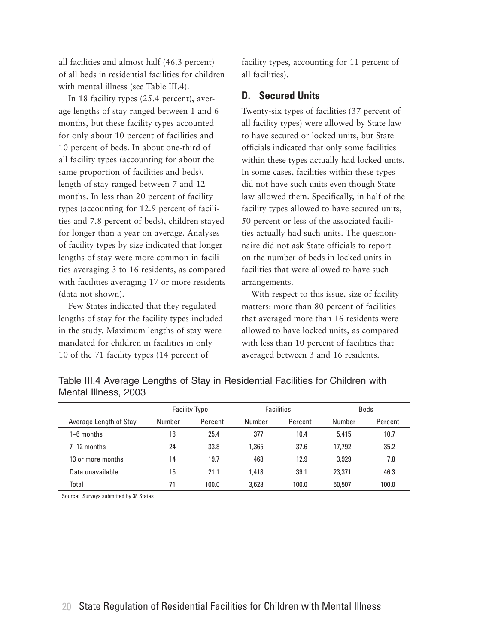all facilities and almost half (46.3 percent) of all beds in residential facilities for children with mental illness (see Table III.4).

In 18 facility types (25.4 percent), average lengths of stay ranged between 1 and 6 months, but these facility types accounted for only about 10 percent of facilities and 10 percent of beds. In about one-third of all facility types (accounting for about the same proportion of facilities and beds), length of stay ranged between 7 and 12 months. In less than 20 percent of facility types (accounting for 12.9 percent of facilities and 7.8 percent of beds), children stayed for longer than a year on average. Analyses of facility types by size indicated that longer lengths of stay were more common in facilities averaging 3 to 16 residents, as compared with facilities averaging 17 or more residents (data not shown).

Few States indicated that they regulated lengths of stay for the facility types included in the study. Maximum lengths of stay were mandated for children in facilities in only 10 of the 71 facility types (14 percent of

facility types, accounting for 11 percent of all facilities).

#### **D. Secured Units**

Twenty-six types of facilities (37 percent of all facility types) were allowed by State law to have secured or locked units, but State officials indicated that only some facilities within these types actually had locked units. In some cases, facilities within these types did not have such units even though State law allowed them. Specifically, in half of the facility types allowed to have secured units, 50 percent or less of the associated facilities actually had such units. The questionnaire did not ask State officials to report on the number of beds in locked units in facilities that were allowed to have such arrangements.

With respect to this issue, size of facility matters: more than 80 percent of facilities that averaged more than 16 residents were allowed to have locked units, as compared with less than 10 percent of facilities that averaged between 3 and 16 residents.

Table III.4 Average Lengths of Stay in Residential Facilities for Children with Mental Illness, 2003

|                        | <b>Facility Type</b> |         | <b>Facilities</b> |         | Beds   |         |
|------------------------|----------------------|---------|-------------------|---------|--------|---------|
| Average Length of Stay | Number               | Percent | Number            | Percent | Number | Percent |
| $1-6$ months           | 18                   | 25.4    | 377               | 10.4    | 5.415  | 10.7    |
| $7-12$ months          | 24                   | 33.8    | 1.365             | 37.6    | 17.792 | 35.2    |
| 13 or more months      | 14                   | 19.7    | 468               | 12.9    | 3.929  | 7.8     |
| Data unavailable       | 15                   | 21.1    | 1,418             | 39.1    | 23,371 | 46.3    |
| Total                  | 71                   | 100.0   | 3.628             | 100.0   | 50,507 | 100.0   |

Source: Surveys submitted by 38 States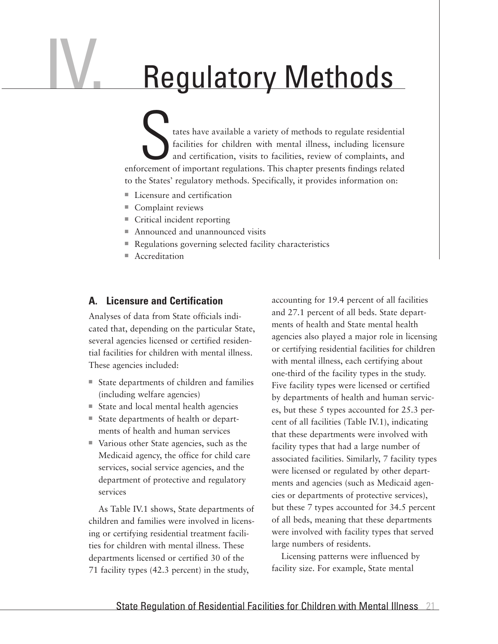## IV. Regulatory Methods

tates have available a variety of methods to regulate residential facilities for children with mental illness, including licensure and certification, visits to facilities, review of complaints, and enforcement of important regulations. This chapter presents findings related to the States' regulatory methods. Specifically, it provides information on:

- $\blacksquare$  Licensure and certification
- $\blacksquare$  Complaint reviews
- $\blacksquare$  Critical incident reporting
- Announced and unannounced visits
- $\blacksquare$  Regulations governing selected facility characteristics
- $A<sub>c</sub>$  Accreditation

#### **A. Licensure and Certification**

Analyses of data from State officials indicated that, depending on the particular State, several agencies licensed or certified residential facilities for children with mental illness. These agencies included:

- State departments of children and families (including welfare agencies)
- $\blacksquare$  State and local mental health agencies
- State departments of health or departments of health and human services
- Various other State agencies, such as the Medicaid agency, the office for child care services, social service agencies, and the department of protective and regulatory services

As Table IV.1 shows, State departments of children and families were involved in licensing or certifying residential treatment facilities for children with mental illness. These departments licensed or certified 30 of the 71 facility types (42.3 percent) in the study,

accounting for 19.4 percent of all facilities and 27.1 percent of all beds. State departments of health and State mental health agencies also played a major role in licensing or certifying residential facilities for children with mental illness, each certifying about one-third of the facility types in the study. Five facility types were licensed or certified by departments of health and human services, but these 5 types accounted for 25.3 percent of all facilities (Table IV.1), indicating that these departments were involved with facility types that had a large number of associated facilities. Similarly, 7 facility types were licensed or regulated by other departments and agencies (such as Medicaid agencies or departments of protective services), but these 7 types accounted for 34.5 percent of all beds, meaning that these departments were involved with facility types that served large numbers of residents.

Licensing patterns were influenced by facility size. For example, State mental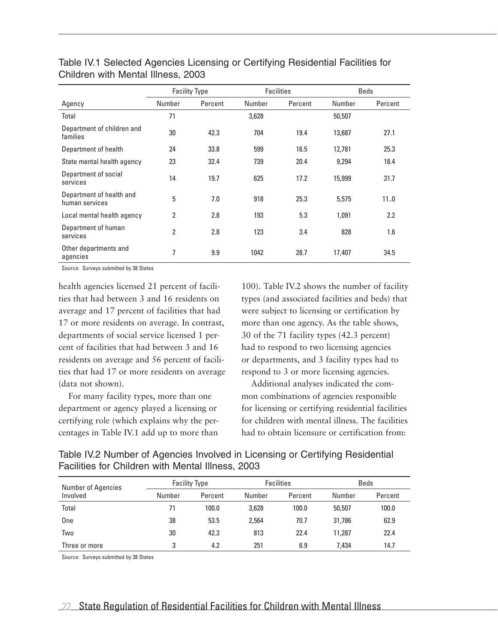|                                            | <b>Facilities</b><br><b>Facility Type</b> |         | <b>Beds</b> |         |        |         |
|--------------------------------------------|-------------------------------------------|---------|-------------|---------|--------|---------|
| Agency                                     | Number                                    | Percent | Number      | Percent | Number | Percent |
| Total                                      | 71                                        |         | 3,628       |         | 50,507 |         |
| Department of children and<br>families     | 30                                        | 42.3    | 704         | 19.4    | 13,687 | 27.1    |
| Department of health                       | 24                                        | 33.8    | 599         | 16.5    | 12,781 | 25.3    |
| State mental health agency                 | 23                                        | 32.4    | 739         | 20.4    | 9,294  | 18.4    |
| Department of social<br>services           | 14                                        | 19.7    | 625         | 17.2    | 15,999 | 31.7    |
| Department of health and<br>human services | 5                                         | 7.0     | 918         | 25.3    | 5,575  | 110     |
| Local mental health agency                 | 2                                         | 2.8     | 193         | 5.3     | 1,091  | 2.2     |
| Department of human<br>services            | $\overline{2}$                            | 2.8     | 123         | 3.4     | 828    | 1.6     |
| Other departments and<br>agencies          | 7                                         | 9.9     | 1042        | 28.7    | 17,407 | 34.5    |

Table IV.1 Selected Agencies Licensing or Certifying Residential Facilities for Children with Mental Illness, 2003

Source: Surveys submitted by 38 States

health agencies licensed 21 percent of facilities that had between 3 and 16 residents on average and 17 percent of facilities that had 17 or more residents on average. In contrast, departments of social service licensed 1 percent of facilities that had between 3 and 16 residents on average and 56 percent of facilities that had 17 or more residents on average (data not shown).

For many facility types, more than one department or agency played a licensing or certifying role (which explains why the percentages in Table IV.1 add up to more than

100). Table IV.2 shows the number of facility types (and associated facilities and beds) that were subject to licensing or certification by more than one agency. As the table shows, 30 of the 71 facility types (42.3 percent) had to respond to two licensing agencies or departments, and 3 facility types had to respond to 3 or more licensing agencies.

Additional analyses indicated the common combinations of agencies responsible for licensing or certifying residential facilities for children with mental illness. The facilities had to obtain licensure or certification from:

Table IV.2 Number of Agencies Involved in Licensing or Certifying Residential Facilities for Children with Mental Illness, 2003

| <b>Number of Agencies</b><br>Involved | <b>Facility Type</b> |         | <b>Facilities</b> |         | Beds   |         |
|---------------------------------------|----------------------|---------|-------------------|---------|--------|---------|
|                                       | Number               | Percent | Number            | Percent | Number | Percent |
| Total                                 | 71                   | 100.0   | 3,628             | 100.0   | 50,507 | 100.0   |
| One                                   | 38                   | 53.5    | 2,564             | 70.7    | 31,786 | 62.9    |
| Two                                   | 30                   | 42.3    | 813               | 22.4    | 11.287 | 22.4    |
| Three or more                         | 3                    | 4.2     | 251               | 6.9     | 7.434  | 14.7    |

Source: Surveys submitted by 38 States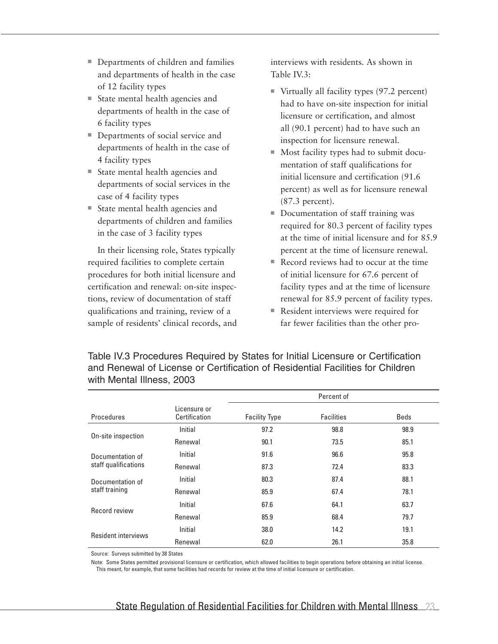- Departments of children and families and departments of health in the case of 12 facility types
- $\blacksquare$  State mental health agencies and departments of health in the case of 6 facility types
- Departments of social service and departments of health in the case of 4 facility types
- $\blacksquare$  State mental health agencies and departments of social services in the case of 4 facility types
- $\blacksquare$  State mental health agencies and departments of children and families in the case of 3 facility types

In their licensing role, States typically required facilities to complete certain procedures for both initial licensure and certification and renewal: on-site inspections, review of documentation of staff qualifications and training, review of a sample of residents' clinical records, and

interviews with residents. As shown in Table IV.3:

- $\blacksquare$  Virtually all facility types (97.2 percent) had to have on-site inspection for initial licensure or certification, and almost all (90.1 percent) had to have such an inspection for licensure renewal.
- $\blacksquare$  Most facility types had to submit documentation of staff qualifications for initial licensure and certification (91.6 percent) as well as for licensure renewal (87.3 percent).
- Documentation of staff training was required for 80.3 percent of facility types at the time of initial licensure and for 85.9 percent at the time of licensure renewal.
- $\blacksquare$  Record reviews had to occur at the time of initial licensure for 67.6 percent of facility types and at the time of licensure renewal for 85.9 percent of facility types.
- Resident interviews were required for far fewer facilities than the other pro-

Table IV.3 Procedures Required by States for Initial Licensure or Certification and Renewal of License or Certification of Residential Facilities for Children with Mental Illness, 2003

|                                          |                                | Percent of           |                   |             |  |  |
|------------------------------------------|--------------------------------|----------------------|-------------------|-------------|--|--|
| Procedures                               | l icensure or<br>Certification | <b>Facility Type</b> | <b>Facilities</b> | <b>Beds</b> |  |  |
| On-site inspection                       | Initial                        | 97.2                 | 98.8              | 98.9        |  |  |
|                                          | Renewal                        | 90.1                 | 73.5              | 85.1        |  |  |
| Documentation of<br>staff qualifications | Initial                        | 91.6                 | 96.6              | 95.8        |  |  |
|                                          | Renewal                        | 87.3                 | 72.4              | 83.3        |  |  |
| Documentation of<br>staff training       | Initial                        | 80.3                 | 87.4              | 88.1        |  |  |
|                                          | Renewal                        | 85.9                 | 67.4              | 78.1        |  |  |
| Record review                            | Initial                        | 67.6                 | 64.1              | 63.7        |  |  |
|                                          | Renewal                        | 85.9                 | 68.4              | 79.7        |  |  |
| <b>Resident interviews</b>               | Initial                        | 38.0                 | 14.2              | 19.1        |  |  |
|                                          | Renewal                        | 62.0                 | 26.1              | 35.8        |  |  |

Source: Surveys submitted by 38 States

Note: Some States permitted provisional licensure or certification, which allowed facilities to begin operations before obtaining an initial license. This meant, for example, that some facilities had records for review at the time of initial licensure or certification.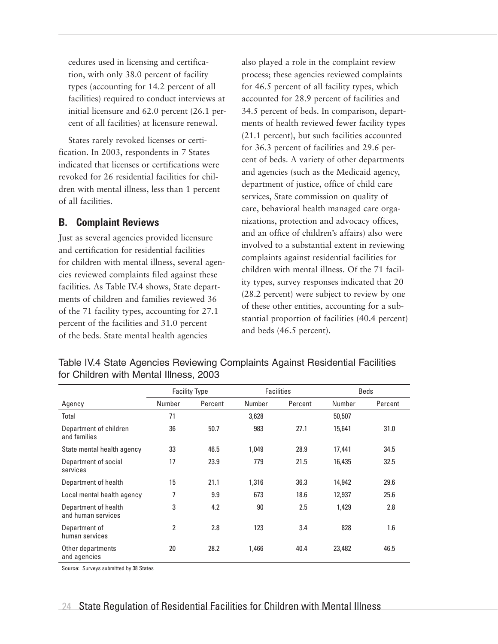cedures used in licensing and certification, with only 38.0 percent of facility types (accounting for 14.2 percent of all facilities) required to conduct interviews at initial licensure and 62.0 percent (26.1 percent of all facilities) at licensure renewal.

States rarely revoked licenses or certification. In 2003, respondents in 7 States indicated that licenses or certifications were revoked for 26 residential facilities for children with mental illness, less than 1 percent of all facilities.

#### **B. Complaint Reviews**

Just as several agencies provided licensure and certification for residential facilities for children with mental illness, several agencies reviewed complaints filed against these facilities. As Table IV.4 shows, State departments of children and families reviewed 36 of the 71 facility types, accounting for 27.1 percent of the facilities and 31.0 percent of the beds. State mental health agencies

also played a role in the complaint review process; these agencies reviewed complaints for 46.5 percent of all facility types, which accounted for 28.9 percent of facilities and 34.5 percent of beds. In comparison, departments of health reviewed fewer facility types (21.1 percent), but such facilities accounted for 36.3 percent of facilities and 29.6 percent of beds. A variety of other departments and agencies (such as the Medicaid agency, department of justice, office of child care services, State commission on quality of care, behavioral health managed care organizations, protection and advocacy offices, and an office of children's affairs) also were involved to a substantial extent in reviewing complaints against residential facilities for children with mental illness. Of the 71 facility types, survey responses indicated that 20 (28.2 percent) were subject to review by one of these other entities, accounting for a substantial proportion of facilities (40.4 percent) and beds (46.5 percent).

|                                            | <b>Facility Type</b> |         | <b>Facilities</b> |         | <b>Beds</b> |         |
|--------------------------------------------|----------------------|---------|-------------------|---------|-------------|---------|
| Agency                                     | Number               | Percent | Number            | Percent | Number      | Percent |
| Total                                      | 71                   |         | 3,628             |         | 50,507      |         |
| Department of children<br>and families     | 36                   | 50.7    | 983               | 27.1    | 15,641      | 31.0    |
| State mental health agency                 | 33                   | 46.5    | 1.049             | 28.9    | 17,441      | 34.5    |
| Department of social<br>services           | 17                   | 23.9    | 779               | 21.5    | 16,435      | 32.5    |
| Department of health                       | 15                   | 21.1    | 1,316             | 36.3    | 14,942      | 29.6    |
| Local mental health agency                 | 7                    | 9.9     | 673               | 18.6    | 12,937      | 25.6    |
| Department of health<br>and human services | 3                    | 4.2     | 90                | 2.5     | 1,429       | 2.8     |
| Department of<br>human services            | 2                    | 2.8     | 123               | 3.4     | 828         | 1.6     |
| Other departments<br>and agencies          | 20                   | 28.2    | 1,466             | 40.4    | 23,482      | 46.5    |

Table IV.4 State Agencies Reviewing Complaints Against Residential Facilities for Children with Mental Illness, 2003

Source: Surveys submitted by 38 States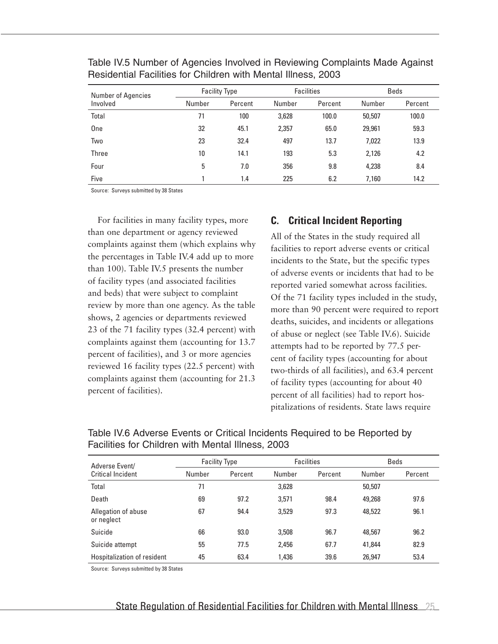| <b>Number of Agencies</b><br>Involved | <b>Facility Type</b> |         | <b>Facilities</b> |         | <b>Beds</b> |         |
|---------------------------------------|----------------------|---------|-------------------|---------|-------------|---------|
|                                       | Number               | Percent | Number            | Percent | Number      | Percent |
| Total                                 | 71                   | 100     | 3,628             | 100.0   | 50,507      | 100.0   |
| One                                   | 32                   | 45.1    | 2,357             | 65.0    | 29,961      | 59.3    |
| Two                                   | 23                   | 32.4    | 497               | 13.7    | 7,022       | 13.9    |
| Three                                 | 10                   | 14.1    | 193               | 5.3     | 2,126       | 4.2     |
| Four                                  | 5                    | 7.0     | 356               | 9.8     | 4,238       | 8.4     |
| Five                                  |                      | 1.4     | 225               | 6.2     | 7,160       | 14.2    |

Table IV.5 Number of Agencies Involved in Reviewing Complaints Made Against Residential Facilities for Children with Mental Illness, 2003

Source: Surveys submitted by 38 States

For facilities in many facility types, more than one department or agency reviewed complaints against them (which explains why the percentages in Table IV.4 add up to more than 100). Table IV.5 presents the number of facility types (and associated facilities and beds) that were subject to complaint review by more than one agency. As the table shows, 2 agencies or departments reviewed 23 of the 71 facility types (32.4 percent) with complaints against them (accounting for 13.7 percent of facilities), and 3 or more agencies reviewed 16 facility types (22.5 percent) with complaints against them (accounting for 21.3 percent of facilities).

#### **C. Critical Incident Reporting**

All of the States in the study required all facilities to report adverse events or critical incidents to the State, but the specific types of adverse events or incidents that had to be reported varied somewhat across facilities. Of the 71 facility types included in the study, more than 90 percent were required to report deaths, suicides, and incidents or allegations of abuse or neglect (see Table IV.6). Suicide attempts had to be reported by 77.5 percent of facility types (accounting for about two-thirds of all facilities), and 63.4 percent of facility types (accounting for about 40 percent of all facilities) had to report hospitalizations of residents. State laws require

| Adverse Event/<br>Critical Incident | <b>Facility Type</b> |         | <b>Facilities</b> |         | <b>Beds</b> |         |
|-------------------------------------|----------------------|---------|-------------------|---------|-------------|---------|
|                                     | Number               | Percent | Number            | Percent | Number      | Percent |
| Total                               | 71                   |         | 3,628             |         | 50,507      |         |
| Death                               | 69                   | 97.2    | 3.571             | 98.4    | 49,268      | 97.6    |
| Allegation of abuse<br>or neglect   | 67                   | 94.4    | 3,529             | 97.3    | 48,522      | 96.1    |
| Suicide                             | 66                   | 93.0    | 3,508             | 96.7    | 48,567      | 96.2    |
| Suicide attempt                     | 55                   | 77.5    | 2,456             | 67.7    | 41,844      | 82.9    |
| Hospitalization of resident         | 45                   | 63.4    | 1,436             | 39.6    | 26,947      | 53.4    |

Table IV.6 Adverse Events or Critical Incidents Required to be Reported by Facilities for Children with Mental Illness, 2003

Source: Surveys submitted by 38 States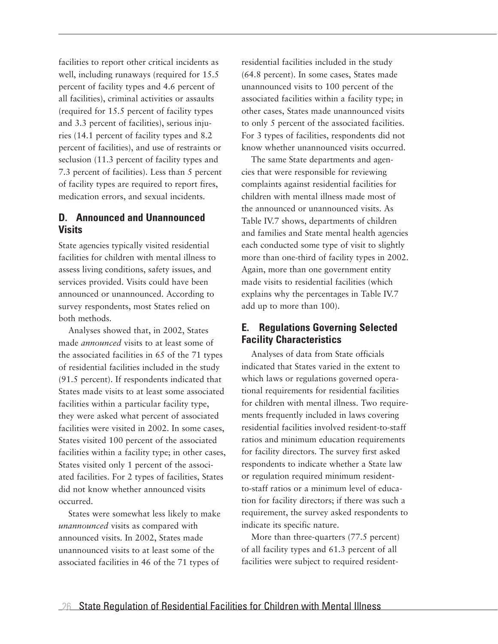facilities to report other critical incidents as well, including runaways (required for 15.5 percent of facility types and 4.6 percent of all facilities), criminal activities or assaults (required for 15.5 percent of facility types and 3.3 percent of facilities), serious injuries (14.1 percent of facility types and 8.2 percent of facilities), and use of restraints or seclusion (11.3 percent of facility types and 7.3 percent of facilities). Less than 5 percent of facility types are required to report fires, medication errors, and sexual incidents.

#### **D. Announced and Unannounced Visits**

State agencies typically visited residential facilities for children with mental illness to assess living conditions, safety issues, and services provided. Visits could have been announced or unannounced. According to survey respondents, most States relied on both methods.

Analyses showed that, in 2002, States made *announced* visits to at least some of the associated facilities in 65 of the 71 types of residential facilities included in the study (91.5 percent). If respondents indicated that States made visits to at least some associated facilities within a particular facility type, they were asked what percent of associated facilities were visited in 2002. In some cases, States visited 100 percent of the associated facilities within a facility type; in other cases, States visited only 1 percent of the associated facilities. For 2 types of facilities, States did not know whether announced visits occurred.

States were somewhat less likely to make *unannounced* visits as compared with announced visits. In 2002, States made unannounced visits to at least some of the associated facilities in 46 of the 71 types of

residential facilities included in the study (64.8 percent). In some cases, States made unannounced visits to 100 percent of the associated facilities within a facility type; in other cases, States made unannounced visits to only 5 percent of the associated facilities. For 3 types of facilities, respondents did not know whether unannounced visits occurred.

The same State departments and agencies that were responsible for reviewing complaints against residential facilities for children with mental illness made most of the announced or unannounced visits. As Table IV.7 shows, departments of children and families and State mental health agencies each conducted some type of visit to slightly more than one-third of facility types in 2002. Again, more than one government entity made visits to residential facilities (which explains why the percentages in Table IV.7 add up to more than 100).

#### **E. Regulations Governing Selected Facility Characteristics**

Analyses of data from State officials indicated that States varied in the extent to which laws or regulations governed operational requirements for residential facilities for children with mental illness. Two requirements frequently included in laws covering residential facilities involved resident-to-staff ratios and minimum education requirements for facility directors. The survey first asked respondents to indicate whether a State law or regulation required minimum residentto-staff ratios or a minimum level of education for facility directors; if there was such a requirement, the survey asked respondents to indicate its specific nature.

More than three-quarters (77.5 percent) of all facility types and 61.3 percent of all facilities were subject to required resident-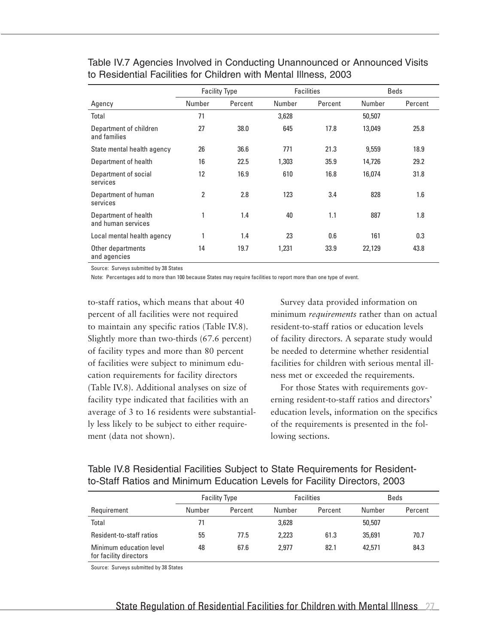|                                            | <b>Facility Type</b> |         | <b>Facilities</b> |         |        | <b>Beds</b> |
|--------------------------------------------|----------------------|---------|-------------------|---------|--------|-------------|
| Agency                                     | Number               | Percent | Number            | Percent | Number | Percent     |
| Total                                      | 71                   |         | 3,628             |         | 50,507 |             |
| Department of children<br>and families     | 27                   | 38.0    | 645               | 17.8    | 13,049 | 25.8        |
| State mental health agency                 | 26                   | 36.6    | 771               | 21.3    | 9,559  | 18.9        |
| Department of health                       | 16                   | 22.5    | 1.303             | 35.9    | 14,726 | 29.2        |
| Department of social<br>services           | 12                   | 16.9    | 610               | 16.8    | 16,074 | 31.8        |
| Department of human<br>services            | 2                    | 2.8     | 123               | 3.4     | 828    | 1.6         |
| Department of health<br>and human services | 1                    | 1.4     | 40                | 1.1     | 887    | 1.8         |
| Local mental health agency                 |                      | 1.4     | 23                | 0.6     | 161    | 0.3         |
| Other departments<br>and agencies          | 14                   | 19.7    | 1,231             | 33.9    | 22,129 | 43.8        |

Table IV.7 Agencies Involved in Conducting Unannounced or Announced Visits to Residential Facilities for Children with Mental Illness, 2003

Source: Surveys submitted by 38 States

Note: Percentages add to more than 100 because States may require facilities to report more than one type of event.

to-staff ratios, which means that about 40 percent of all facilities were not required to maintain any specific ratios (Table IV.8). Slightly more than two-thirds (67.6 percent) of facility types and more than 80 percent of facilities were subject to minimum education requirements for facility directors (Table IV.8). Additional analyses on size of facility type indicated that facilities with an average of 3 to 16 residents were substantially less likely to be subject to either requirement (data not shown).

Survey data provided information on minimum *requirements* rather than on actual resident-to-staff ratios or education levels of facility directors. A separate study would be needed to determine whether residential facilities for children with serious mental illness met or exceeded the requirements.

For those States with requirements governing resident-to-staff ratios and directors' education levels, information on the specifics of the requirements is presented in the following sections.

| to-Staff Ratios and Minimum Education Levels for Facility Directors, 2003     |  |
|-------------------------------------------------------------------------------|--|
| Table IV.8 Residential Facilities Subject to State Requirements for Resident- |  |

|                                                   |        | <b>Facility Type</b> |        | <b>Facilities</b> |        | <b>Beds</b> |
|---------------------------------------------------|--------|----------------------|--------|-------------------|--------|-------------|
| Requirement                                       | Number | Percent              | Number | Percent           | Number | Percent     |
| Total                                             | 71     |                      | 3,628  |                   | 50,507 |             |
| Resident-to-staff ratios                          | 55     | 77.5                 | 2.223  | 61.3              | 35,691 | 70.7        |
| Minimum education level<br>for facility directors | 48     | 67.6                 | 2.977  | 82.1              | 42.571 | 84.3        |

Source: Surveys submitted by 38 States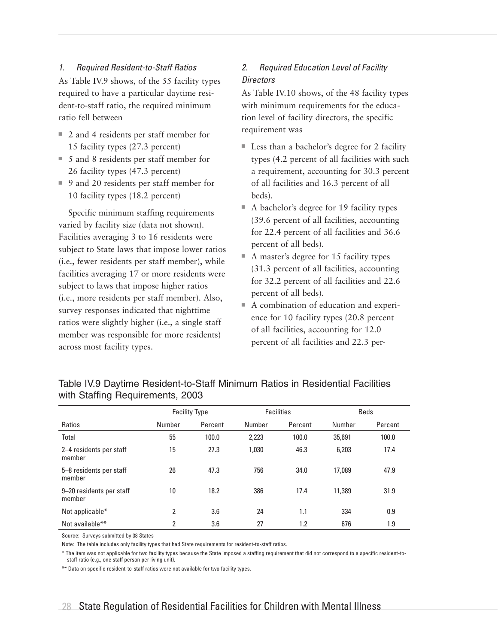#### *1. Required Resident-to-Staff Ratios*

As Table IV.9 shows, of the 55 facility types required to have a particular daytime resident-to-staff ratio, the required minimum ratio fell between

- 2 and 4 residents per staff member for 15 facility types (27.3 percent)
- $\blacksquare$  5 and 8 residents per staff member for 26 facility types (47.3 percent)
- 9 and 20 residents per staff member for 10 facility types (18.2 percent)

Specific minimum staffing requirements varied by facility size (data not shown). Facilities averaging 3 to 16 residents were subject to State laws that impose lower ratios (i.e., fewer residents per staff member), while facilities averaging 17 or more residents were subject to laws that impose higher ratios (i.e., more residents per staff member). Also, survey responses indicated that nighttime ratios were slightly higher (i.e., a single staff member was responsible for more residents) across most facility types.

### *2. Required Education Level of Facility Directors*

As Table IV.10 shows, of the 48 facility types with minimum requirements for the education level of facility directors, the specific requirement was

- $\blacksquare$  Less than a bachelor's degree for 2 facility types (4.2 percent of all facilities with such a requirement, accounting for 30.3 percent of all facilities and 16.3 percent of all beds).
- $\blacksquare$  A bachelor's degree for 19 facility types (39.6 percent of all facilities, accounting for 22.4 percent of all facilities and 36.6 percent of all beds).
- $\blacksquare$  A master's degree for 15 facility types (31.3 percent of all facilities, accounting for 32.2 percent of all facilities and 22.6 percent of all beds).
- $\blacksquare$  A combination of education and experience for 10 facility types (20.8 percent of all facilities, accounting for 12.0 percent of all facilities and 22.3 per-

|                                    |                | <b>Facility Type</b> |        | <b>Facilities</b> | <b>Beds</b> |         |
|------------------------------------|----------------|----------------------|--------|-------------------|-------------|---------|
| Ratios                             | Number         | Percent              | Number | Percent           | Number      | Percent |
| Total                              | 55             | 100.0                | 2,223  | 100.0             | 35,691      | 100.0   |
| 2–4 residents per staff<br>member  | 15             | 27.3                 | 1,030  | 46.3              | 6,203       | 17.4    |
| 5-8 residents per staff<br>member  | 26             | 47.3                 | 756    | 34.0              | 17.089      | 47.9    |
| 9-20 residents per staff<br>member | 10             | 18.2                 | 386    | 17.4              | 11,389      | 31.9    |
| Not applicable*                    | $\overline{2}$ | 3.6                  | 24     | 1.1               | 334         | 0.9     |
| Not available**                    | $\overline{2}$ | 3.6                  | 27     | 1.2               | 676         | 1.9     |

Table IV.9 Daytime Resident-to-Staff Minimum Ratios in Residential Facilities with Staffing Requirements, 2003

Source: Surveys submitted by 38 States

Note: The table includes only facility types that had State requirements for resident-to-staff ratios.

\* The item was not applicable for two facility types because the State imposed a staffing requirement that did not correspond to a specific resident-tostaff ratio (e.g., one staff person per living unit).

\*\* Data on specific resident-to-staff ratios were not available for two facility types.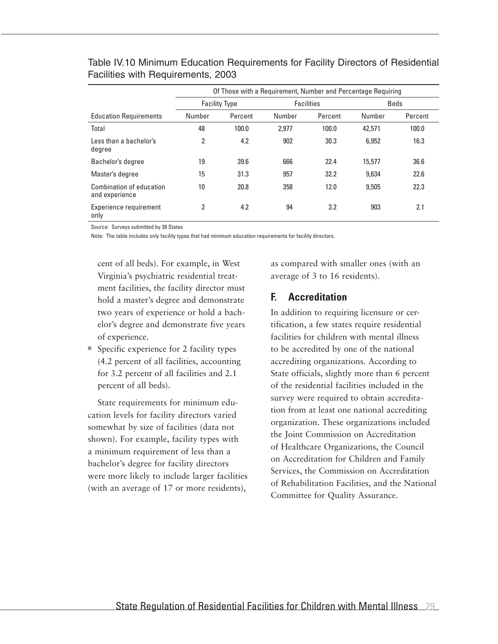| Table IV.10 Minimum Education Requirements for Facility Directors of Residential |  |
|----------------------------------------------------------------------------------|--|
| Facilities with Requirements, 2003                                               |  |

|                                            | Of Those with a Requirement, Number and Percentage Requiring |         |                   |         |        |             |
|--------------------------------------------|--------------------------------------------------------------|---------|-------------------|---------|--------|-------------|
|                                            | <b>Facility Type</b>                                         |         | <b>Facilities</b> |         |        | <b>Beds</b> |
| <b>Education Requirements</b>              | Number                                                       | Percent | Number            | Percent | Number | Percent     |
| Total                                      | 48                                                           | 100.0   | 2.977             | 100.0   | 42,571 | 100.0       |
| Less than a bachelor's<br>degree           | 2                                                            | 4.2     | 902               | 30.3    | 6,952  | 16.3        |
| Bachelor's degree                          | 19                                                           | 39.6    | 666               | 22.4    | 15,577 | 36.6        |
| Master's degree                            | 15                                                           | 31.3    | 957               | 32.2    | 9.634  | 22.6        |
| Combination of education<br>and experience | 10                                                           | 20.8    | 358               | 12.0    | 9.505  | 22.3        |
| Experience requirement<br>only             | 2                                                            | 4.2     | 94                | 3.2     | 903    | 2.1         |

Source: Surveys submitted by 38 States

Note: The table includes only facility types that had minimum education requirements for facility directors.

cent of all beds). For example, in West Virginia's psychiatric residential treatment facilities, the facility director must hold a master's degree and demonstrate two years of experience or hold a bachelor's degree and demonstrate five years of experience.

 $\blacksquare$  Specific experience for 2 facility types (4.2 percent of all facilities, accounting for 3.2 percent of all facilities and 2.1 percent of all beds).

State requirements for minimum education levels for facility directors varied somewhat by size of facilities (data not shown). For example, facility types with a minimum requirement of less than a bachelor's degree for facility directors were more likely to include larger facilities (with an average of 17 or more residents),

as compared with smaller ones (with an average of 3 to 16 residents).

#### **F. Accreditation**

In addition to requiring licensure or certification, a few states require residential facilities for children with mental illness to be accredited by one of the national accrediting organizations. According to State officials, slightly more than 6 percent of the residential facilities included in the survey were required to obtain accreditation from at least one national accrediting organization. These organizations included the Joint Commission on Accreditation of Healthcare Organizations, the Council on Accreditation for Children and Family Services, the Commission on Accreditation of Rehabilitation Facilities, and the National Committee for Quality Assurance.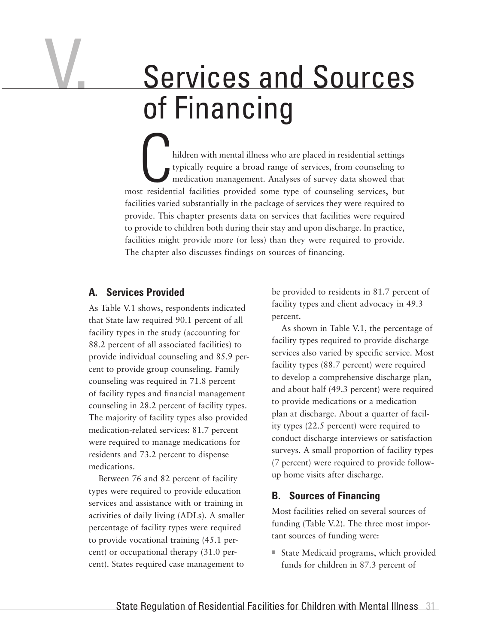# Services and Sources of Financing

hildren with mental illness who are placed in residential settings typically require a broad range of services, from counseling to medication management. Analyses of survey data showed that most residential facilities provided some type of counseling services, but facilities varied substantially in the package of services they were required to provide. This chapter presents data on services that facilities were required to provide to children both during their stay and upon discharge. In practice, facilities might provide more (or less) than they were required to provide. The chapter also discusses findings on sources of financing.

#### **A. Services Provided**

V.

As Table V.1 shows, respondents indicated that State law required 90.1 percent of all facility types in the study (accounting for 88.2 percent of all associated facilities) to provide individual counseling and 85.9 percent to provide group counseling. Family counseling was required in 71.8 percent of facility types and financial management counseling in 28.2 percent of facility types. The majority of facility types also provided medication-related services: 81.7 percent were required to manage medications for residents and 73.2 percent to dispense medications.

Between 76 and 82 percent of facility types were required to provide education services and assistance with or training in activities of daily living (ADLs). A smaller percentage of facility types were required to provide vocational training (45.1 percent) or occupational therapy (31.0 percent). States required case management to

be provided to residents in 81.7 percent of facility types and client advocacy in 49.3 percent.

As shown in Table V.1, the percentage of facility types required to provide discharge services also varied by specific service. Most facility types (88.7 percent) were required to develop a comprehensive discharge plan, and about half (49.3 percent) were required to provide medications or a medication plan at discharge. About a quarter of facility types (22.5 percent) were required to conduct discharge interviews or satisfaction surveys. A small proportion of facility types (7 percent) were required to provide followup home visits after discharge.

#### **B. Sources of Financing**

Most facilities relied on several sources of funding (Table V.2). The three most important sources of funding were:

■ State Medicaid programs, which provided funds for children in 87.3 percent of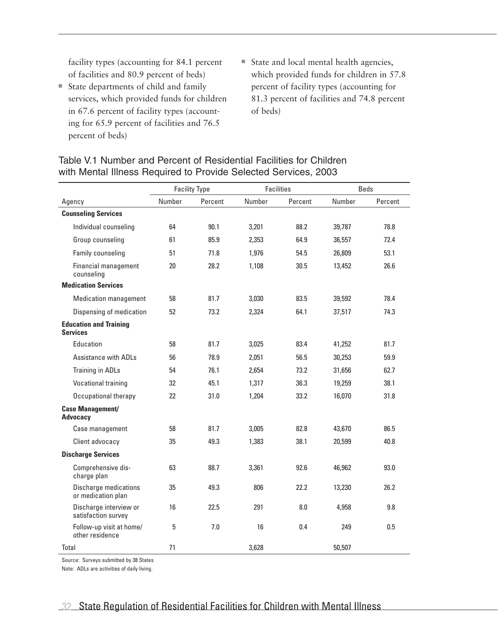facility types (accounting for 84.1 percent of facilities and 80.9 percent of beds)

- State departments of child and family services, which provided funds for children in 67.6 percent of facility types (accounting for 65.9 percent of facilities and 76.5 percent of beds)
- State and local mental health agencies, which provided funds for children in 57.8 percent of facility types (accounting for 81.3 percent of facilities and 74.8 percent of beds)

#### Table V.1 Number and Percent of Residential Facilities for Children with Mental Illness Required to Provide Selected Services, 2003

|                                                  |        | <b>Facility Type</b> |        | <b>Facilities</b> |        | <b>Beds</b> |
|--------------------------------------------------|--------|----------------------|--------|-------------------|--------|-------------|
| Agency                                           | Number | Percent              | Number | Percent           | Number | Percent     |
| <b>Counseling Services</b>                       |        |                      |        |                   |        |             |
| Individual counseling                            | 64     | 90.1                 | 3,201  | 88.2              | 39,787 | 78.8        |
| Group counseling                                 | 61     | 85.9                 | 2.353  | 64.9              | 36,557 | 72.4        |
| Family counseling                                | 51     | 71.8                 | 1,976  | 54.5              | 26,809 | 53.1        |
| Financial management<br>counseling               | 20     | 28.2                 | 1,108  | 30.5              | 13,452 | 26.6        |
| <b>Medication Services</b>                       |        |                      |        |                   |        |             |
| <b>Medication management</b>                     | 58     | 81.7                 | 3,030  | 83.5              | 39,592 | 78.4        |
| Dispensing of medication                         | 52     | 73.2                 | 2,324  | 64.1              | 37,517 | 74.3        |
| <b>Education and Training</b><br><b>Services</b> |        |                      |        |                   |        |             |
| Education                                        | 58     | 81.7                 | 3,025  | 83.4              | 41,252 | 81.7        |
| Assistance with ADI s                            | 56     | 78.9                 | 2.051  | 56.5              | 30,253 | 59.9        |
| Training in ADLs                                 | 54     | 76.1                 | 2.654  | 73.2              | 31,656 | 62.7        |
| Vocational training                              | 32     | 45.1                 | 1,317  | 36.3              | 19,259 | 38.1        |
| Occupational therapy                             | 22     | 31.0                 | 1,204  | 33.2              | 16,070 | 31.8        |
| <b>Case Management/</b><br><b>Advocacy</b>       |        |                      |        |                   |        |             |
| Case management                                  | 58     | 81.7                 | 3,005  | 82.8              | 43,670 | 86.5        |
| Client advocacy                                  | 35     | 49.3                 | 1,383  | 38.1              | 20,599 | 40.8        |
| <b>Discharge Services</b>                        |        |                      |        |                   |        |             |
| Comprehensive dis-<br>charge plan                | 63     | 88.7                 | 3,361  | 92.6              | 46,962 | 93.0        |
| Discharge medications<br>or medication plan      | 35     | 49.3                 | 806    | 22.2              | 13,230 | 26.2        |
| Discharge interview or<br>satisfaction survey    | 16     | 22.5                 | 291    | 8.0               | 4,958  | 9.8         |
| Follow-up visit at home/<br>other residence      | 5      | 7.0                  | 16     | 0.4               | 249    | 0.5         |
| Total                                            | 71     |                      | 3,628  |                   | 50,507 |             |

Source: Surveys submitted by 38 States

Note: ADLs are activities of daily living.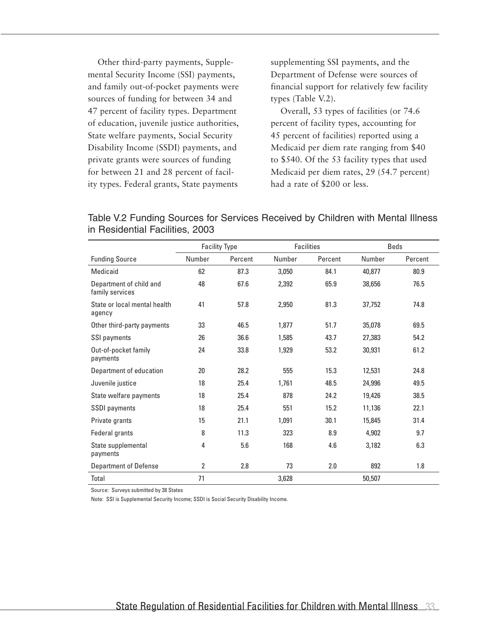Other third-party payments, Supplemental Security Income (SSI) payments, and family out-of-pocket payments were sources of funding for between 34 and 47 percent of facility types. Department of education, juvenile justice authorities, State welfare payments, Social Security Disability Income (SSDI) payments, and private grants were sources of funding for between 21 and 28 percent of facility types. Federal grants, State payments

supplementing SSI payments, and the Department of Defense were sources of financial support for relatively few facility types (Table V.2).

Overall, 53 types of facilities (or 74.6 percent of facility types, accounting for 45 percent of facilities) reported using a Medicaid per diem rate ranging from \$40 to \$540. Of the 53 facility types that used Medicaid per diem rates, 29 (54.7 percent) had a rate of \$200 or less.

Table V.2 Funding Sources for Services Received by Children with Mental Illness in Residential Facilities, 2003

|                                            | <b>Facility Type</b> |         |        | <b>Facilities</b> |        | <b>Beds</b> |
|--------------------------------------------|----------------------|---------|--------|-------------------|--------|-------------|
| <b>Funding Source</b>                      | Number               | Percent | Number | Percent           | Number | Percent     |
| Medicaid                                   | 62                   | 87.3    | 3,050  | 84.1              | 40,877 | 80.9        |
| Department of child and<br>family services | 48                   | 67.6    | 2,392  | 65.9              | 38,656 | 76.5        |
| State or local mental health<br>agency     | 41                   | 57.8    | 2,950  | 81.3              | 37,752 | 74.8        |
| Other third-party payments                 | 33                   | 46.5    | 1,877  | 51.7              | 35,078 | 69.5        |
| SSI payments                               | 26                   | 36.6    | 1,585  | 43.7              | 27,383 | 54.2        |
| Out-of-pocket family<br>payments           | 24                   | 33.8    | 1,929  | 53.2              | 30,931 | 61.2        |
| Department of education                    | 20                   | 28.2    | 555    | 15.3              | 12,531 | 24.8        |
| Juvenile justice                           | 18                   | 25.4    | 1,761  | 48.5              | 24,996 | 49.5        |
| State welfare payments                     | 18                   | 25.4    | 878    | 24.2              | 19,426 | 38.5        |
| <b>SSDI</b> payments                       | 18                   | 25.4    | 551    | 15.2              | 11,136 | 22.1        |
| Private grants                             | 15                   | 21.1    | 1,091  | 30.1              | 15,845 | 31.4        |
| Federal grants                             | 8                    | 11.3    | 323    | 8.9               | 4,902  | 9.7         |
| State supplemental<br>payments             | $\overline{4}$       | 5.6     | 168    | 4.6               | 3,182  | 6.3         |
| <b>Department of Defense</b>               | 2                    | 2.8     | 73     | 2.0               | 892    | 1.8         |
| Total                                      | 71                   |         | 3,628  |                   | 50,507 |             |

Source: Surveys submitted by 38 States

Note: SSI is Supplemental Security Income; SSDI is Social Security Disability Income.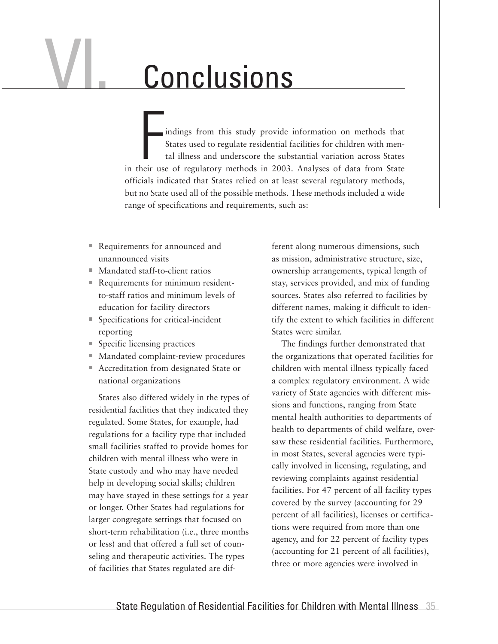# VI. Conclusions

indings from this study provide information on methods that States used to regulate residential facilities for children with mental illness and underscore the substantial variation across States in their use of regulatory methods in 2003. Analyses of data from State officials indicated that States relied on at least several regulatory methods, but no State used all of the possible methods. These methods included a wide range of specifications and requirements, such as:

- Requirements for announced and unannounced visits
- Mandated staff-to-client ratios
- Requirements for minimum residentto-staff ratios and minimum levels of education for facility directors
- Specifications for critical-incident reporting
- $\blacksquare$  Specific licensing practices
- Mandated complaint-review procedures
- Accreditation from designated State or national organizations

States also differed widely in the types of residential facilities that they indicated they regulated. Some States, for example, had regulations for a facility type that included small facilities staffed to provide homes for children with mental illness who were in State custody and who may have needed help in developing social skills; children may have stayed in these settings for a year or longer. Other States had regulations for larger congregate settings that focused on short-term rehabilitation (i.e., three months or less) and that offered a full set of counseling and therapeutic activities. The types of facilities that States regulated are dif-

ferent along numerous dimensions, such as mission, administrative structure, size, ownership arrangements, typical length of stay, services provided, and mix of funding sources. States also referred to facilities by different names, making it difficult to identify the extent to which facilities in different States were similar.

The findings further demonstrated that the organizations that operated facilities for children with mental illness typically faced a complex regulatory environment. A wide variety of State agencies with different missions and functions, ranging from State mental health authorities to departments of health to departments of child welfare, oversaw these residential facilities. Furthermore, in most States, several agencies were typically involved in licensing, regulating, and reviewing complaints against residential facilities. For 47 percent of all facility types covered by the survey (accounting for 29 percent of all facilities), licenses or certifications were required from more than one agency, and for 22 percent of facility types (accounting for 21 percent of all facilities), three or more agencies were involved in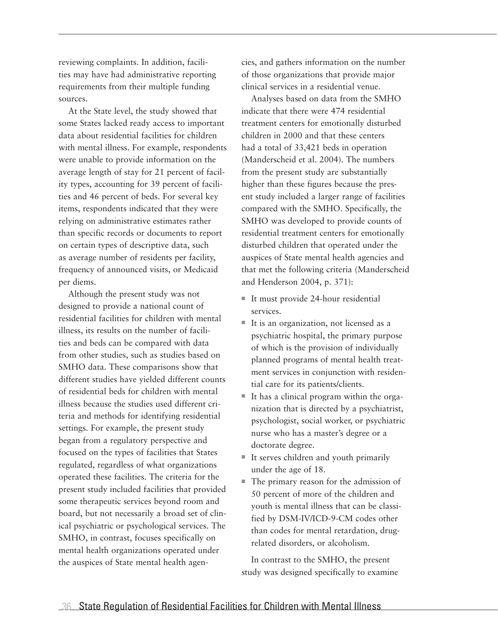reviewing complaints. In addition, facilities may have had administrative reporting requirements from their multiple funding sources.

At the State level, the study showed that some States lacked ready access to important data about residential facilities for children with mental illness. For example, respondents were unable to provide information on the average length of stay for 21 percent of facility types, accounting for 39 percent of facilities and 46 percent of beds. For several key items, respondents indicated that they were relying on administrative estimates rather than specific records or documents to report on certain types of descriptive data, such as average number of residents per facility, frequency of announced visits, or Medicaid per diems.

Although the present study was not designed to provide a national count of residential facilities for children with mental illness, its results on the number of facilities and beds can be compared with data from other studies, such as studies based on SMHO data. These comparisons show that different studies have yielded different counts of residential beds for children with mental illness because the studies used different criteria and methods for identifying residential settings. For example, the present study began from a regulatory perspective and focused on the types of facilities that States regulated, regardless of what organizations operated these facilities. The criteria for the present study included facilities that provided some therapeutic services beyond room and board, but not necessarily a broad set of clinical psychiatric or psychological services. The SMHO, in contrast, focuses specifically on mental health organizations operated under the auspices of State mental health agencies, and gathers information on the number of those organizations that provide major clinical services in a residential venue.

Analyses based on data from the SMHO indicate that there were 474 residential treatment centers for emotionally disturbed children in 2000 and that these centers had a total of 33,421 beds in operation (Manderscheid et al. 2004). The numbers from the present study are substantially higher than these figures because the present study included a larger range of facilities compared with the SMHO. Specifically, the SMHO was developed to provide counts of residential treatment centers for emotionally disturbed children that operated under the auspices of State mental health agencies and that met the following criteria (Manderscheid and Henderson 2004, p. 371):

- $\blacksquare$  It must provide 24-hour residential services.
- $\blacksquare$  It is an organization, not licensed as a psychiatric hospital, the primary purpose of which is the provision of individually planned programs of mental health treatment services in conjunction with residential care for its patients/clients.
- $\blacksquare$  It has a clinical program within the organization that is directed by a psychiatrist, psychologist, social worker, or psychiatric nurse who has a master's degree or a doctorate degree.
- $\blacksquare$  It serves children and youth primarily under the age of 18.
- $\blacksquare$  The primary reason for the admission of 50 percent of more of the children and youth is mental illness that can be classified by DSM-IV/ICD-9-CM codes other than codes for mental retardation, drugrelated disorders, or alcoholism.

In contrast to the SMHO, the present study was designed specifically to examine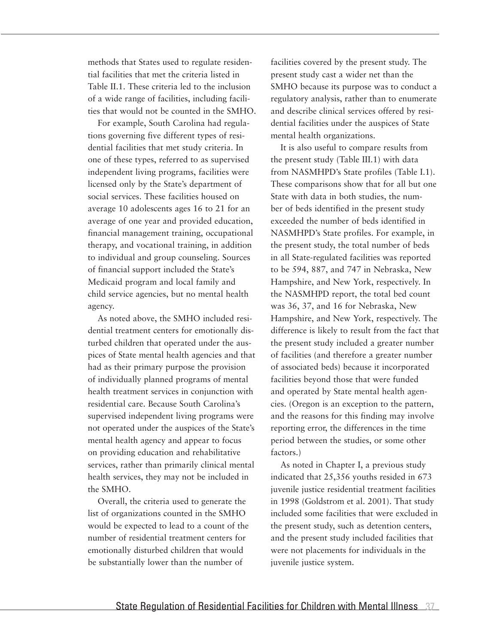methods that States used to regulate residential facilities that met the criteria listed in Table II.1. These criteria led to the inclusion of a wide range of facilities, including facilities that would not be counted in the SMHO.

For example, South Carolina had regulations governing five different types of residential facilities that met study criteria. In one of these types, referred to as supervised independent living programs, facilities were licensed only by the State's department of social services. These facilities housed on average 10 adolescents ages 16 to 21 for an average of one year and provided education, financial management training, occupational therapy, and vocational training, in addition to individual and group counseling. Sources of financial support included the State's Medicaid program and local family and child service agencies, but no mental health agency.

As noted above, the SMHO included residential treatment centers for emotionally disturbed children that operated under the auspices of State mental health agencies and that had as their primary purpose the provision of individually planned programs of mental health treatment services in conjunction with residential care. Because South Carolina's supervised independent living programs were not operated under the auspices of the State's mental health agency and appear to focus on providing education and rehabilitative services, rather than primarily clinical mental health services, they may not be included in the SMHO.

Overall, the criteria used to generate the list of organizations counted in the SMHO would be expected to lead to a count of the number of residential treatment centers for emotionally disturbed children that would be substantially lower than the number of

facilities covered by the present study. The present study cast a wider net than the SMHO because its purpose was to conduct a regulatory analysis, rather than to enumerate and describe clinical services offered by residential facilities under the auspices of State mental health organizations.

It is also useful to compare results from the present study (Table III.1) with data from NASMHPD's State profiles (Table I.1). These comparisons show that for all but one State with data in both studies, the number of beds identified in the present study exceeded the number of beds identified in NASMHPD's State profiles. For example, in the present study, the total number of beds in all State-regulated facilities was reported to be 594, 887, and 747 in Nebraska, New Hampshire, and New York, respectively. In the NASMHPD report, the total bed count was 36, 37, and 16 for Nebraska, New Hampshire, and New York, respectively. The difference is likely to result from the fact that the present study included a greater number of facilities (and therefore a greater number of associated beds) because it incorporated facilities beyond those that were funded and operated by State mental health agencies. (Oregon is an exception to the pattern, and the reasons for this finding may involve reporting error, the differences in the time period between the studies, or some other factors.)

As noted in Chapter I, a previous study indicated that 25,356 youths resided in 673 juvenile justice residential treatment facilities in 1998 (Goldstrom et al. 2001). That study included some facilities that were excluded in the present study, such as detention centers, and the present study included facilities that were not placements for individuals in the juvenile justice system.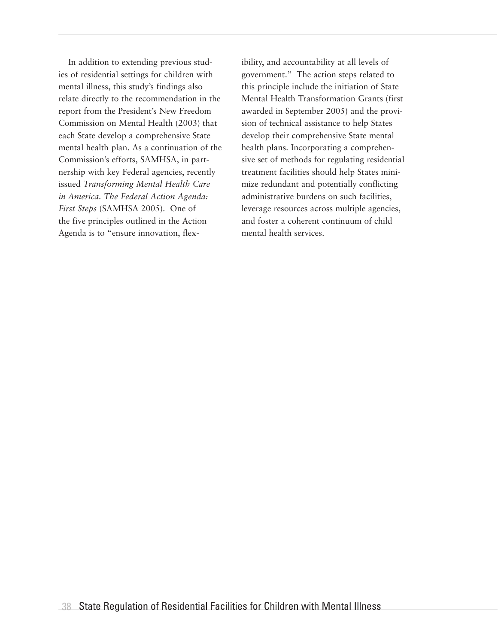In addition to extending previous studies of residential settings for children with mental illness, this study's findings also relate directly to the recommendation in the report from the President's New Freedom Commission on Mental Health (2003) that each State develop a comprehensive State mental health plan. As a continuation of the Commission's efforts, SAMHSA, in partnership with key Federal agencies, recently issued *Transforming Mental Health Care in America. The Federal Action Agenda: First Steps* (SAMHSA 2005). One of the five principles outlined in the Action Agenda is to "ensure innovation, flexibility, and accountability at all levels of government." The action steps related to this principle include the initiation of State Mental Health Transformation Grants (first awarded in September 2005) and the provision of technical assistance to help States develop their comprehensive State mental health plans. Incorporating a comprehensive set of methods for regulating residential treatment facilities should help States minimize redundant and potentially conflicting administrative burdens on such facilities, leverage resources across multiple agencies, and foster a coherent continuum of child mental health services.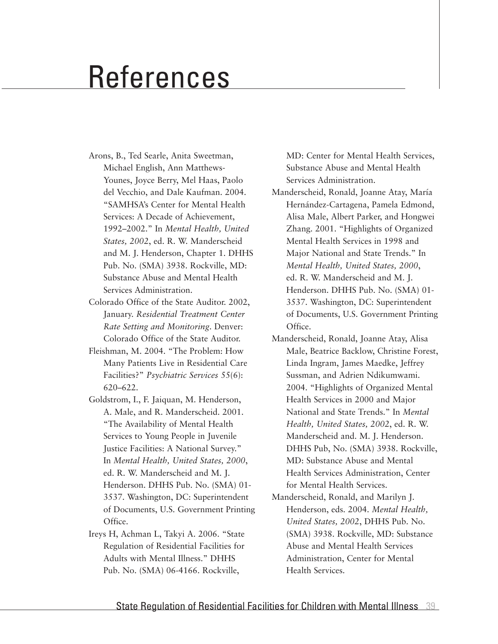# References

- Arons, B., Ted Searle, Anita Sweetman, Michael English, Ann Matthews-Younes, Joyce Berry, Mel Haas, Paolo del Vecchio, and Dale Kaufman. 2004. "SAMHSA's Center for Mental Health Services: A Decade of Achievement, 1992–2002." In *Mental Health, United States, 2002*, ed. R. W. Manderscheid and M. J. Henderson, Chapter 1. DHHS Pub. No. (SMA) 3938. Rockville, MD: Substance Abuse and Mental Health Services Administration.
- Colorado Office of the State Auditor. 2002, January. *Residential Treatment Center Rate Setting and Monitoring*. Denver: Colorado Office of the State Auditor.
- Fleishman, M. 2004. "The Problem: How Many Patients Live in Residential Care Facilities?" *Psychiatric Services* 55(6): 620–622.
- Goldstrom, I., F. Jaiquan, M. Henderson, A. Male, and R. Manderscheid. 2001. "The Availability of Mental Health Services to Young People in Juvenile Justice Facilities: A National Survey." In *Mental Health, United States, 2000*, ed. R. W. Manderscheid and M. J. Henderson. DHHS Pub. No. (SMA) 01- 3537. Washington, DC: Superintendent of Documents, U.S. Government Printing Office.
- Ireys H, Achman L, Takyi A. 2006. "State Regulation of Residential Facilities for Adults with Mental Illness." DHHS Pub. No. (SMA) 06-4166. Rockville,

MD: Center for Mental Health Services, Substance Abuse and Mental Health Services Administration.

- Manderscheid, Ronald, Joanne Atay, María Hernández-Cartagena, Pamela Edmond, Alisa Male, Albert Parker, and Hongwei Zhang. 2001. "Highlights of Organized Mental Health Services in 1998 and Major National and State Trends." In *Mental Health, United States, 2000*, ed. R. W. Manderscheid and M. J. Henderson. DHHS Pub. No. (SMA) 01- 3537. Washington, DC: Superintendent of Documents, U.S. Government Printing Office.
- Manderscheid, Ronald, Joanne Atay, Alisa Male, Beatrice Backlow, Christine Forest, Linda Ingram, James Maedke, Jeffrey Sussman, and Adrien Ndikumwami. 2004. "Highlights of Organized Mental Health Services in 2000 and Major National and State Trends." In *Mental Health, United States, 2002*, ed. R. W. Manderscheid and. M. J. Henderson. DHHS Pub, No. (SMA) 3938. Rockville, MD: Substance Abuse and Mental Health Services Administration, Center for Mental Health Services.
- Manderscheid, Ronald, and Marilyn J. Henderson, eds. 2004. *Mental Health, United States, 2002*, DHHS Pub. No. (SMA) 3938. Rockville, MD: Substance Abuse and Mental Health Services Administration, Center for Mental Health Services.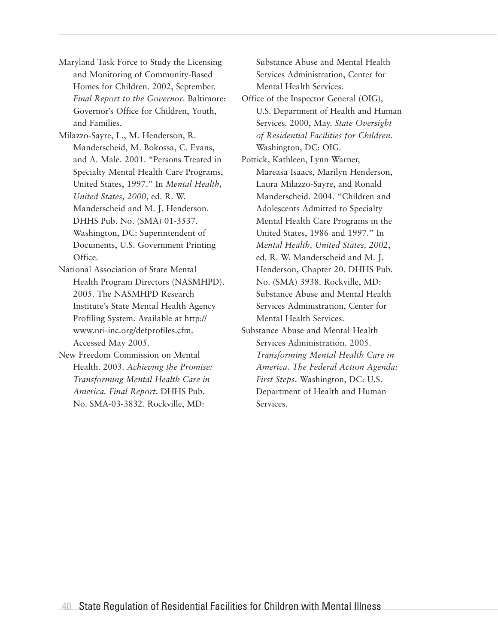- Maryland Task Force to Study the Licensing and Monitoring of Community-Based Homes for Children. 2002, September. *Final Report to the Governor*. Baltimore: Governor's Office for Children, Youth, and Families.
- Milazzo-Sayre, L., M. Henderson, R. Manderscheid, M. Bokossa, C. Evans, and A. Male. 2001. "Persons Treated in Specialty Mental Health Care Programs, United States, 1997." In *Mental Health, United States, 2000*, ed. R. W. Manderscheid and M. J. Henderson. DHHS Pub. No. (SMA) 01-3537. Washington, DC: Superintendent of Documents, U.S. Government Printing Office.
- National Association of State Mental Health Program Directors (NASMHPD). 2005. The NASMHPD Research Institute's State Mental Health Agency Profiling System. Available at http:// www.nri-inc.org/defprofiles.cfm. Accessed May 2005.
- New Freedom Commission on Mental Health. 2003. *Achieving the Promise: Transforming Mental Health Care in America. Final Report*. DHHS Pub. No. SMA-03-3832. Rockville, MD:

Substance Abuse and Mental Health Services Administration, Center for Mental Health Services.

- Office of the Inspector General (OIG), U.S. Department of Health and Human Services. 2000, May. *State Oversight of Residential Facilities for Children*. Washington, DC: OIG.
- Pottick, Kathleen, Lynn Warner, Mareasa Isaacs, Marilyn Henderson, Laura Milazzo-Sayre, and Ronald Manderscheid. 2004. "Children and Adolescents Admitted to Specialty Mental Health Care Programs in the United States, 1986 and 1997." In *Mental Health, United States, 2002*, ed. R. W. Manderscheid and M. J. Henderson, Chapter 20. DHHS Pub. No. (SMA) 3938. Rockville, MD: Substance Abuse and Mental Health Services Administration, Center for Mental Health Services.
- Substance Abuse and Mental Health Services Administration. 2005. *Transforming Mental Health Care in America. The Federal Action Agenda: First Steps*. Washington, DC: U.S. Department of Health and Human Services.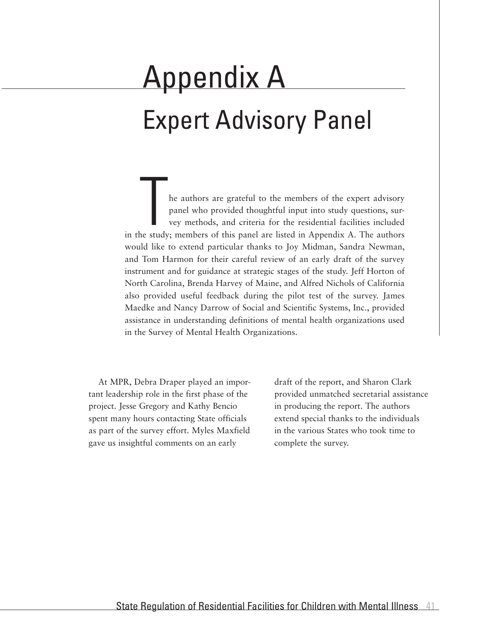# Appendix A Expert Advisory Panel

The authors are grateful to the members of the expert advisory<br>panel who provided thoughtful input into study questions, sur-<br>vey methods, and criteria for the residential facilities included<br>ne study; members of this pane panel who provided thoughtful input into study questions, survey methods, and criteria for the residential facilities included in the study; members of this panel are listed in Appendix A. The authors would like to extend particular thanks to Joy Midman, Sandra Newman, and Tom Harmon for their careful review of an early draft of the survey instrument and for guidance at strategic stages of the study. Jeff Horton of North Carolina, Brenda Harvey of Maine, and Alfred Nichols of California also provided useful feedback during the pilot test of the survey. James Maedke and Nancy Darrow of Social and Scientific Systems, Inc., provided assistance in understanding definitions of mental health organizations used in the Survey of Mental Health Organizations.

At MPR, Debra Draper played an important leadership role in the first phase of the project. Jesse Gregory and Kathy Bencio spent many hours contacting State officials as part of the survey effort. Myles Maxfield gave us insightful comments on an early

draft of the report, and Sharon Clark provided unmatched secretarial assistance in producing the report. The authors extend special thanks to the individuals in the various States who took time to complete the survey.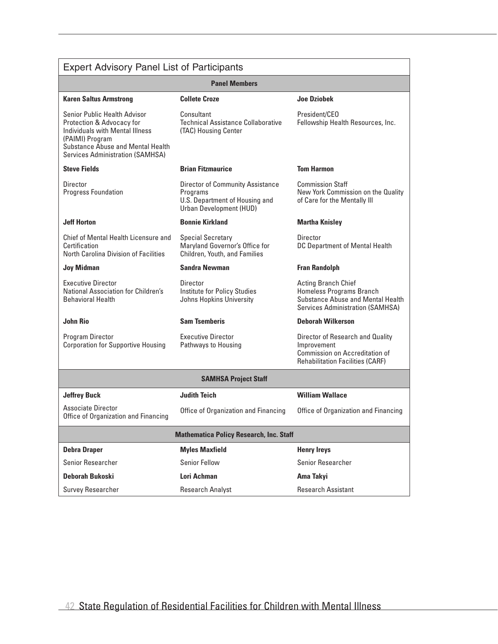| <b>Expert Advisory Panel List of Participants</b>                                                                                                                                                      |                                                                                                                  |                                                                                                                                        |
|--------------------------------------------------------------------------------------------------------------------------------------------------------------------------------------------------------|------------------------------------------------------------------------------------------------------------------|----------------------------------------------------------------------------------------------------------------------------------------|
|                                                                                                                                                                                                        | <b>Panel Members</b>                                                                                             |                                                                                                                                        |
| <b>Karen Saltus Armstrong</b>                                                                                                                                                                          | <b>Collete Croze</b>                                                                                             | <b>Joe Dziobek</b>                                                                                                                     |
| Senior Public Health Advisor<br>Protection & Advocacy for<br>Individuals with Mental Illness<br>(PAIMI) Program<br><b>Substance Abuse and Mental Health</b><br><b>Services Administration (SAMHSA)</b> | Consultant<br><b>Technical Assistance Collaborative</b><br>(TAC) Housing Center                                  | President/CEO<br>Fellowship Health Resources, Inc.                                                                                     |
| <b>Steve Fields</b>                                                                                                                                                                                    | <b>Brian Fitzmaurice</b>                                                                                         | <b>Tom Harmon</b>                                                                                                                      |
| Director<br><b>Progress Foundation</b>                                                                                                                                                                 | <b>Director of Community Assistance</b><br>Programs<br>U.S. Department of Housing and<br>Urban Development (HUD) | <b>Commission Staff</b><br>New York Commission on the Quality<br>of Care for the Mentally III                                          |
| <b>Jeff Horton</b>                                                                                                                                                                                     | <b>Bonnie Kirkland</b>                                                                                           | <b>Martha Knisley</b>                                                                                                                  |
| Chief of Mental Health Licensure and<br>Certification<br><b>North Carolina Division of Facilities</b>                                                                                                  | <b>Special Secretary</b><br>Maryland Governor's Office for<br>Children, Youth, and Families                      | Director<br>DC Department of Mental Health                                                                                             |
| <b>Joy Midman</b>                                                                                                                                                                                      | <b>Sandra Newman</b>                                                                                             | <b>Fran Randolph</b>                                                                                                                   |
| <b>Executive Director</b><br>National Association for Children's<br><b>Behavioral Health</b>                                                                                                           | Director<br>Institute for Policy Studies<br>Johns Hopkins University                                             | <b>Acting Branch Chief</b><br>Homeless Programs Branch<br>Substance Abuse and Mental Health<br><b>Services Administration (SAMHSA)</b> |
| <b>John Rio</b>                                                                                                                                                                                        | <b>Sam Tsemberis</b>                                                                                             | <b>Deborah Wilkerson</b>                                                                                                               |
| Program Director<br><b>Corporation for Supportive Housing</b>                                                                                                                                          | <b>Executive Director</b><br>Pathways to Housing                                                                 | Director of Research and Quality<br>Improvement<br>Commission on Accreditation of<br><b>Rehabilitation Facilities (CARF)</b>           |
|                                                                                                                                                                                                        | <b>SAMHSA Project Staff</b>                                                                                      |                                                                                                                                        |
| <b>Jeffrey Buck</b>                                                                                                                                                                                    | <b>Judith Teich</b>                                                                                              | <b>William Wallace</b>                                                                                                                 |
| <b>Associate Director</b><br>Office of Organization and Financing                                                                                                                                      | Office of Organization and Financing                                                                             | Office of Organization and Financing                                                                                                   |
|                                                                                                                                                                                                        | <b>Mathematica Policy Research, Inc. Staff</b>                                                                   |                                                                                                                                        |
| <b>Debra Draper</b>                                                                                                                                                                                    | <b>Myles Maxfield</b>                                                                                            | <b>Henry Ireys</b>                                                                                                                     |
| Senior Researcher                                                                                                                                                                                      | <b>Senior Fellow</b>                                                                                             | <b>Senior Researcher</b>                                                                                                               |
| <b>Deborah Bukoski</b>                                                                                                                                                                                 | Lori Achman                                                                                                      | Ama Takyi                                                                                                                              |
| Survey Researcher                                                                                                                                                                                      | <b>Research Analyst</b>                                                                                          | <b>Research Assistant</b>                                                                                                              |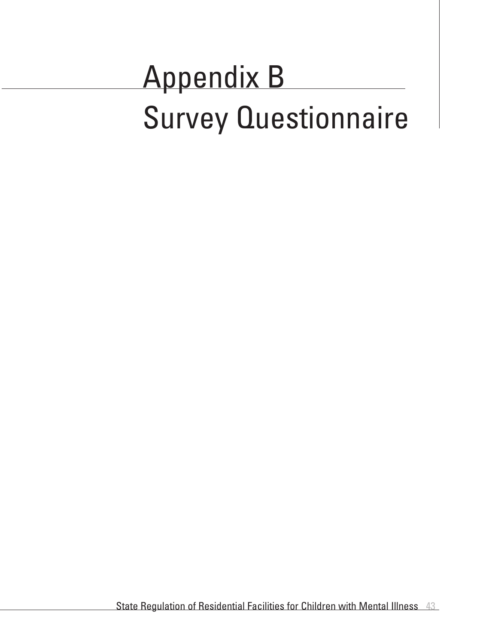# Appendix B Survey Questionnaire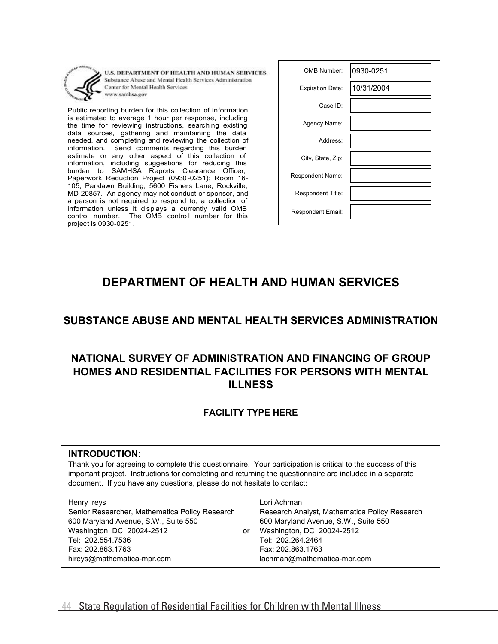

U.S. DEPARTMENT OF HEALTH AND HUMAN SERVICES Substance Abuse and Mental Health Services Administration Center for Mental Health Services www.samhsa.gov

Public reporting burden for this collection of information is estimated to average 1 hour per response, including the time for reviewing instructions, searching existing data sources, gathering and maintaining the data needed, and completing and reviewing the collection of information. Send comments regarding this burden estimate or any other aspect of this collection of information, including suggestions for reducing this burden to SAMHSA Reports Clearance Officer; Paperwork Reduction Project (0930-0251); Room 16- 105, Parklawn Building; 5600 Fishers Lane, Rockville, MD 20857. An agency may not conduct or sponsor, and a person is not required to respond to, a collection of information unless it displays a currently valid OMB control number. The OMB control number for this project is 0930-0251.

| OMB Number:             | 0930-0251  |
|-------------------------|------------|
| <b>Expiration Date:</b> | 10/31/2004 |
| Case ID:                |            |
| Agency Name:            |            |
| Address:                |            |
| City, State, Zip:       |            |
| Respondent Name:        |            |
| Respondent Title:       |            |
| Respondent Email:       |            |

# **DEPARTMENT OF HEALTH AND HUMAN SERVICES**

## **SUBSTANCE ABUSE AND MENTAL HEALTH SERVICES ADMINISTRATION**

# **NATIONAL SURVEY OF ADMINISTRATION AND FINANCING OF GROUP HOMES AND RESIDENTIAL FACILITIES FOR PERSONS WITH MENTAL ILLNESS**

#### **FACILITY TYPE HERE**

#### **INTRODUCTION:**

Thank you for agreeing to complete this questionnaire. Your participation is critical to the success of this important project. Instructions for completing and returning the questionnaire are included in a separate document. If you have any questions, please do not hesitate to contact:

600 Maryland Avenue, S.W., Suite 550 Washington, DC 20024-2512 Henry Ireys Senior Researcher, Mathematica Policy Research hireys@mathematica-mpr.com lachman@mathematica-mpr.com Tel: 202.554.7536 Fax: 202.863.1763

or Washington, DC 20024-2512 Lori Achman Research Analyst, Mathematica Policy Research 600 Maryland Avenue, S.W., Suite 550 Tel: 202.264.2464 Fax: 202.863.1763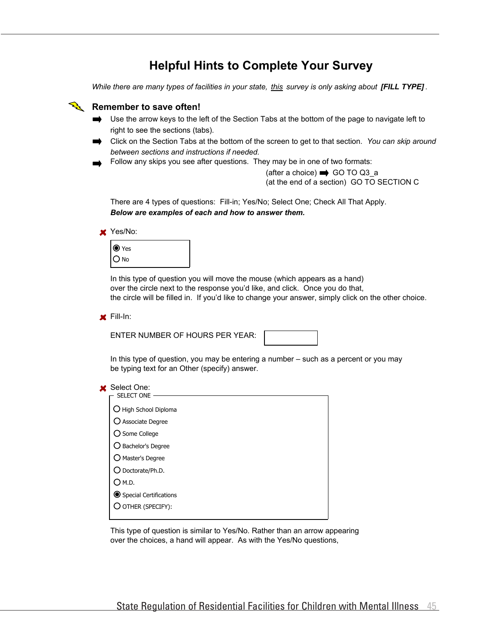# **Helpful Hints to Complete Your Survey**

*While there are many types of facilities in your state, this survey is only asking about [FILL TYPE] .*



This type of question is similar to Yes/No. Rather than an arrow appearing over the choices, a hand will appear. As with the Yes/No questions,

O<sub>M.D.</sub>

**Special Certifications** OTHER (SPECIFY):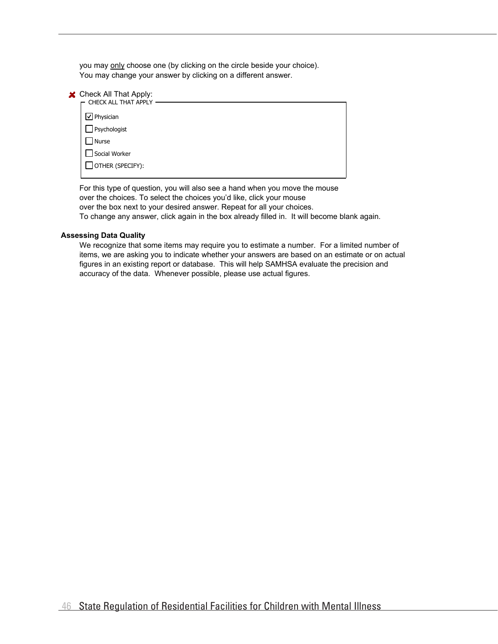you may only choose one (by clicking on the circle beside your choice). You may change your answer by clicking on a different answer.

| Check All That Apply:<br>CHECK ALL THAT APPLY |
|-----------------------------------------------|
|                                               |
| $\cup$ Physician                              |
| Psychologist                                  |
| Nurse                                         |
| Social Worker                                 |
| OTHER (SPECIFY):                              |
|                                               |

For this type of question, you will also see a hand when you move the mouse over the choices. To select the choices you'd like, click your mouse over the box next to your desired answer. Repeat for all your choices. To change any answer, click again in the box already filled in. It will become blank again.

#### **Assessing Data Quality**

We recognize that some items may require you to estimate a number. For a limited number of items, we are asking you to indicate whether your answers are based on an estimate or on actual figures in an existing report or database. This will help SAMHSA evaluate the precision and accuracy of the data. Whenever possible, please use actual figures.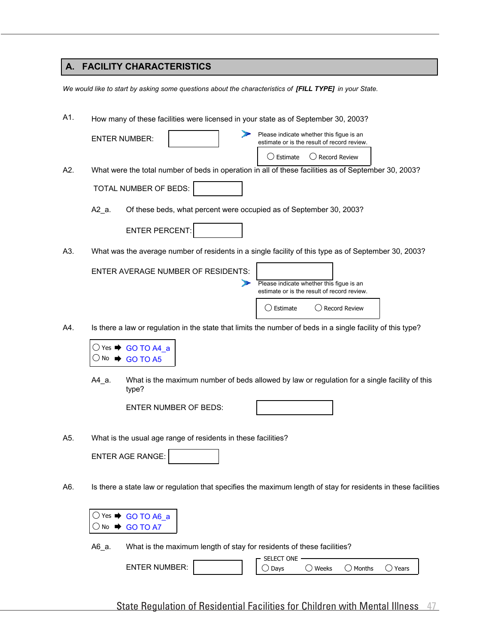## **A. FACILITY CHARACTERISTICS**

*We would like to start by asking some questions about the characteristics of [FILL TYPE] in your State.*

| A1. | How many of these facilities were licensed in your state as of September 30, 2003?                                                                        |  |  |  |  |  |
|-----|-----------------------------------------------------------------------------------------------------------------------------------------------------------|--|--|--|--|--|
|     | Please indicate whether this figue is an<br><b>ENTER NUMBER:</b><br>estimate or is the result of record review.<br>◯ Record Review<br>$\bigcirc$ Estimate |  |  |  |  |  |
| A2. | What were the total number of beds in operation in all of these facilities as of September 30, 2003?                                                      |  |  |  |  |  |
|     | TOTAL NUMBER OF BEDS:                                                                                                                                     |  |  |  |  |  |
|     | Of these beds, what percent were occupied as of September 30, 2003?<br>A2_a.                                                                              |  |  |  |  |  |
|     | <b>ENTER PERCENT:</b>                                                                                                                                     |  |  |  |  |  |
| A3. | What was the average number of residents in a single facility of this type as of September 30, 2003?                                                      |  |  |  |  |  |
|     | <b>ENTER AVERAGE NUMBER OF RESIDENTS:</b><br>Please indicate whether this figue is an<br>estimate or is the result of record review.                      |  |  |  |  |  |
|     | $\supset$ Record Review<br>( ) Estimate                                                                                                                   |  |  |  |  |  |
| A4. | Is there a law or regulation in the state that limits the number of beds in a single facility of this type?                                               |  |  |  |  |  |
|     | $\bigcirc$ Yes $\bigstar$ GO TO A4 a<br>GO TO A5<br>No.                                                                                                   |  |  |  |  |  |
|     | What is the maximum number of beds allowed by law or regulation for a single facility of this<br>A4_a.<br>type?                                           |  |  |  |  |  |
|     | <b>ENTER NUMBER OF BEDS:</b>                                                                                                                              |  |  |  |  |  |
| A5. | What is the usual age range of residents in these facilities?                                                                                             |  |  |  |  |  |
|     | <b>ENTER AGE RANGE:</b>                                                                                                                                   |  |  |  |  |  |
| A6. | Is there a state law or regulation that specifies the maximum length of stay for residents in these facilities                                            |  |  |  |  |  |
|     | $\bigcirc$ Yes $\Rightarrow$ GO TO A6_a<br><b>GO TO A7</b><br>$\cup$ No $\blacksquare$                                                                    |  |  |  |  |  |
|     | What is the maximum length of stay for residents of these facilities?<br>A6_a.                                                                            |  |  |  |  |  |
|     | SELECT ONE<br><b>ENTER NUMBER:</b><br>$\bigcirc$ Weeks<br>$\bigcirc$ Months<br>$\bigcirc$ Years<br>Days                                                   |  |  |  |  |  |
|     |                                                                                                                                                           |  |  |  |  |  |

State Regulation of Residential Facilities for Children with Mental Illness 47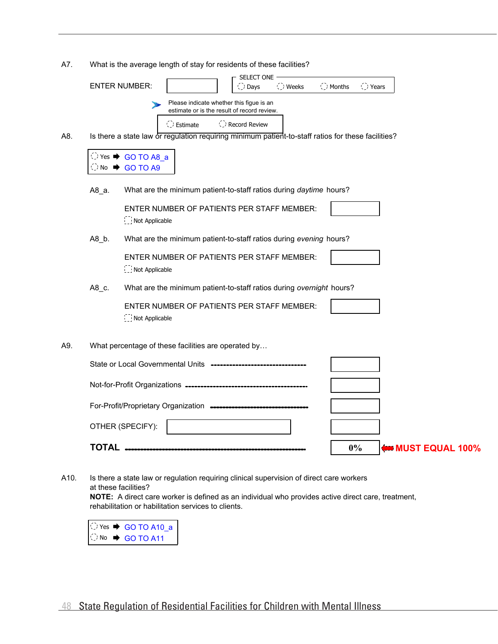A7. What is the average length of stay for residents of these facilities?

|     |                              | SELECT ONE ·<br><b>ENTER NUMBER:</b><br>O Weeks<br>$\bigcirc$ Months<br>◯ Days<br>◯ Years                                             |
|-----|------------------------------|---------------------------------------------------------------------------------------------------------------------------------------|
|     |                              | Please indicate whether this figue is an<br>estimate or is the result of record review.                                               |
| A8. |                              | C Record Review<br>( ) Estimate<br>Is there a state law or regulation requiring minimum patient-to-staff ratios for these facilities? |
|     |                              | $\bigcirc$ Yes $\rightarrow$ GO TO A8_a                                                                                               |
|     | $\bigcirc$ No $\blacksquare$ | GO TO A9                                                                                                                              |
|     | A8_a.                        | What are the minimum patient-to-staff ratios during daytime hours?                                                                    |
|     |                              | ENTER NUMBER OF PATIENTS PER STAFF MEMBER:<br>Not Applicable                                                                          |
|     | $A8_b$ .                     | What are the minimum patient-to-staff ratios during evening hours?                                                                    |
|     |                              | ENTER NUMBER OF PATIENTS PER STAFF MEMBER:<br>Not Applicable                                                                          |
|     | A8_c.                        | What are the minimum patient-to-staff ratios during overnight hours?                                                                  |
|     |                              | ENTER NUMBER OF PATIENTS PER STAFF MEMBER:<br>Not Applicable                                                                          |
| A9. |                              | What percentage of these facilities are operated by                                                                                   |
|     |                              | State or Local Governmental Units -------------------                                                                                 |
|     |                              |                                                                                                                                       |
|     |                              | For-Profit/Proprietary Organization -----------------------------                                                                     |
|     |                              | OTHER (SPECIFY):                                                                                                                      |
|     | <b>TOTAL</b>                 | $0\%$<br><b>INUST EQUAL 100%</b>                                                                                                      |

A10. at these facilities? Is there a state law or regulation requiring clinical supervision of direct care workers

**NOTE:** A direct care worker is defined as an individual who provides active direct care, treatment, rehabilitation or habilitation services to clients.

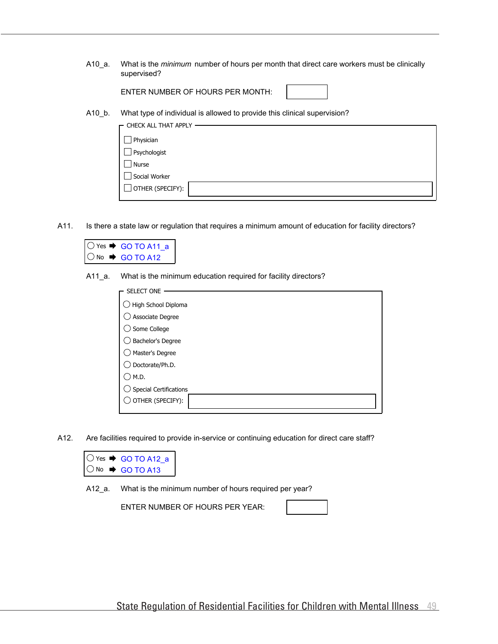A10\_a. What is the *minimum* number of hours per month that direct care workers must be clinically supervised?

ENTER NUMBER OF HOURS PER MONTH:

A10\_b. What type of individual is allowed to provide this clinical supervision?

| $\Gamma$ CHECK ALL THAT APPLY |  |
|-------------------------------|--|
|                               |  |
| Physician                     |  |
| Psychologist                  |  |
| Nurse                         |  |
| Social Worker                 |  |
| OTHER (SPECIFY):              |  |
|                               |  |

A11. Is there a state law or regulation that requires a minimum amount of education for facility directors?

|  | $\bigcirc$ Yes $\rightarrow$ GO TO A11 a |  |
|--|------------------------------------------|--|
|  | $\bigcirc$ No $\rightarrow$ GO TO A12    |  |

A11\_a. What is the minimum education required for facility directors?

| <b>SELECT ONE</b>      |
|------------------------|
|                        |
| High School Diploma    |
| Associate Degree       |
| Some College           |
| Bachelor's Degree      |
| Master's Degree        |
| Doctorate/Ph.D.        |
| M.D.                   |
| Special Certifications |
| OTHER (SPECIFY):       |
|                        |

A12. Are facilities required to provide in-service or continuing education for direct care staff?

|  | $\bigcirc$ Yes $\rightarrow$ GO TO A12 a |
|--|------------------------------------------|
|  | $\bigcirc$ No $\rightarrow$ GO TO A13    |

A12\_a. What is the minimum number of hours required per year?

ENTER NUMBER OF HOURS PER YEAR: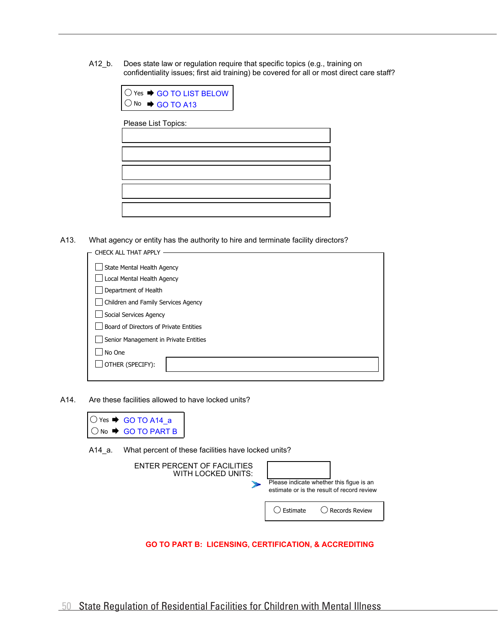A12\_b. Does state law or regulation require that specific topics (e.g., training on confidentiality issues; first aid training) be covered for all or most direct care staff?

| $\circ$ Yes $\rightarrow$ GO TO LIST BELOW |
|--------------------------------------------|
| $\bigcirc$ No $\rightarrow$ GO TO A13      |

Please List Topics:

A13. What agency or entity has the authority to hire and terminate facility directors?

| CHECK ALL THAT APPL'                   |  |  |  |  |
|----------------------------------------|--|--|--|--|
| State Mental Health Agency             |  |  |  |  |
| Local Mental Health Agency             |  |  |  |  |
| Department of Health                   |  |  |  |  |
| Children and Family Services Agency    |  |  |  |  |
| Social Services Agency                 |  |  |  |  |
| Board of Directors of Private Entities |  |  |  |  |
| Senior Management in Private Entities  |  |  |  |  |
| No One                                 |  |  |  |  |
| OTHER (SPECIFY):                       |  |  |  |  |
|                                        |  |  |  |  |

A14. Are these facilities allowed to have locked units?



A14\_a. What percent of these facilities have locked units?

| ENTER PERCENT OF FACILITIES<br>WITH LOCKED UNITS: |          | Please indicate whether this figue is an<br>estimate or is the result of record review |
|---------------------------------------------------|----------|----------------------------------------------------------------------------------------|
|                                                   | Estimate | ◯ Records Review                                                                       |

**GO TO PART B: LICENSING, CERTIFICATION, & ACCREDITING**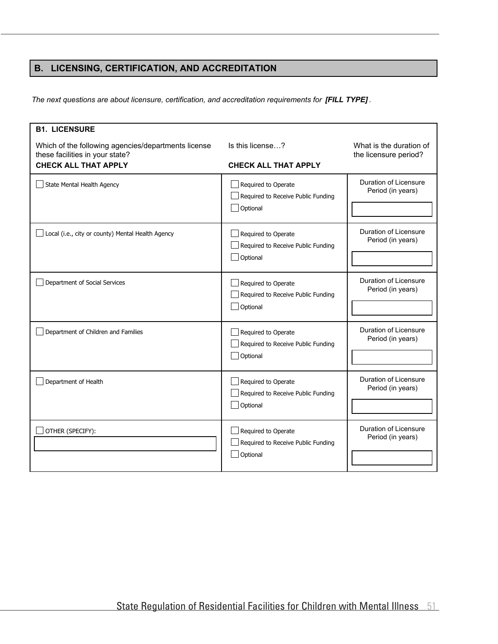## **B. LICENSING, CERTIFICATION, AND ACCREDITATION**

*The next questions are about licensure, certification, and accreditation requirements for [FILL TYPE] .*

| <b>B1. LICENSURE</b><br>Which of the following agencies/departments license<br>these facilities in your state?<br><b>CHECK ALL THAT APPLY</b> | Is this license?<br><b>CHECK ALL THAT APPLY</b>                       | What is the duration of<br>the licensure period? |
|-----------------------------------------------------------------------------------------------------------------------------------------------|-----------------------------------------------------------------------|--------------------------------------------------|
| State Mental Health Agency                                                                                                                    | Required to Operate<br>Required to Receive Public Funding<br>Optional | Duration of Licensure<br>Period (in years)       |
| Local (i.e., city or county) Mental Health Agency                                                                                             | Required to Operate<br>Required to Receive Public Funding<br>Optional | Duration of Licensure<br>Period (in years)       |
| Department of Social Services                                                                                                                 | Required to Operate<br>Required to Receive Public Funding<br>Optional | Duration of Licensure<br>Period (in years)       |
| Department of Children and Families                                                                                                           | Required to Operate<br>Required to Receive Public Funding<br>Optional | Duration of Licensure<br>Period (in years)       |
| Department of Health                                                                                                                          | Required to Operate<br>Required to Receive Public Funding<br>Optional | Duration of Licensure<br>Period (in years)       |
| OTHER (SPECIFY):                                                                                                                              | Required to Operate<br>Required to Receive Public Funding<br>Optional | Duration of Licensure<br>Period (in years)       |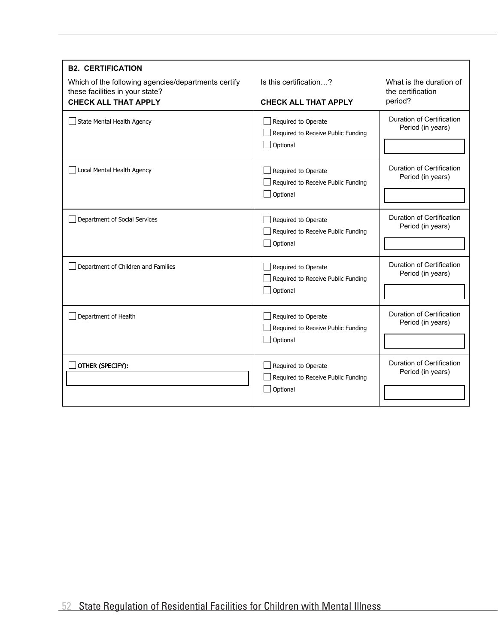| <b>B2. CERTIFICATION</b>                                                               |                                                                       |                                                       |  |
|----------------------------------------------------------------------------------------|-----------------------------------------------------------------------|-------------------------------------------------------|--|
| Which of the following agencies/departments certify<br>these facilities in your state? | Is this certification?                                                | What is the duration of<br>the certification          |  |
| <b>CHECK ALL THAT APPLY</b>                                                            | <b>CHECK ALL THAT APPLY</b>                                           | period?                                               |  |
| State Mental Health Agency                                                             | Required to Operate<br>Required to Receive Public Funding             | Duration of Certification<br>Period (in years)        |  |
|                                                                                        | Optional                                                              |                                                       |  |
| Local Mental Health Agency                                                             | Required to Operate<br>Required to Receive Public Funding             | Duration of Certification<br>Period (in years)        |  |
|                                                                                        | Optional                                                              |                                                       |  |
| Department of Social Services                                                          | Required to Operate<br>Required to Receive Public Funding<br>Optional | Duration of Certification<br>Period (in years)        |  |
| Department of Children and Families                                                    | Required to Operate<br>Required to Receive Public Funding<br>Optional | <b>Duration of Certification</b><br>Period (in years) |  |
| Department of Health                                                                   | Required to Operate<br>Required to Receive Public Funding<br>Optional | Duration of Certification<br>Period (in years)        |  |
| OTHER (SPECIFY):                                                                       | Required to Operate<br>Required to Receive Public Funding<br>Optional | Duration of Certification<br>Period (in years)        |  |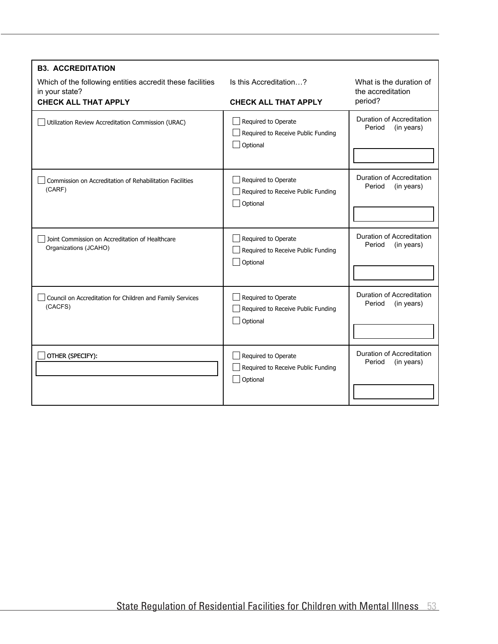| <b>B3. ACCREDITATION</b>                                                    |                                                                       |                                                   |
|-----------------------------------------------------------------------------|-----------------------------------------------------------------------|---------------------------------------------------|
| Which of the following entities accredit these facilities<br>in your state? | Is this Accreditation?                                                | What is the duration of<br>the accreditation      |
| <b>CHECK ALL THAT APPLY</b>                                                 | <b>CHECK ALL THAT APPLY</b>                                           | period?                                           |
| Utilization Review Accreditation Commission (URAC)                          | Required to Operate<br>Required to Receive Public Funding<br>Optional | Duration of Accreditation<br>Period<br>(in years) |
| Commission on Accreditation of Rehabilitation Facilities<br>(CARF)          | Required to Operate<br>Required to Receive Public Funding<br>Optional | Duration of Accreditation<br>Period<br>(in years) |
| Joint Commission on Accreditation of Healthcare<br>Organizations (JCAHO)    | Required to Operate<br>Required to Receive Public Funding<br>Optional | Duration of Accreditation<br>Period<br>(in years) |
| Council on Accreditation for Children and Family Services<br>(CACFS)        | Required to Operate<br>Required to Receive Public Funding<br>Optional | Duration of Accreditation<br>Period<br>(in years) |
| OTHER (SPECIFY):                                                            | Required to Operate<br>Required to Receive Public Funding<br>Optional | Duration of Accreditation<br>Period<br>(in years) |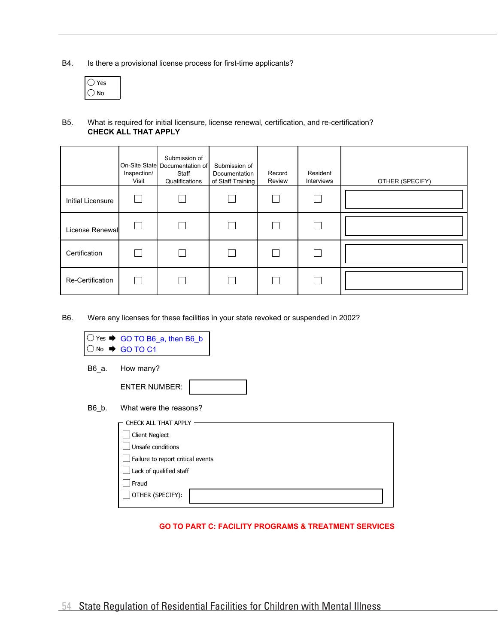B4. Is there a provisional license process for first-time applicants?

| ٧o |
|----|

#### **CHECK ALL THAT APPLY** B5. What is required for initial licensure, license renewal, certification, and re-certification?

|                          | Inspection/<br>Visit | Submission of<br>On-Site State Documentation of<br>Staff<br>Qualifications | Submission of<br>Documentation<br>of Staff Training | Record<br>Review | Resident<br>Interviews | OTHER (SPECIFY) |
|--------------------------|----------------------|----------------------------------------------------------------------------|-----------------------------------------------------|------------------|------------------------|-----------------|
| <b>Initial Licensure</b> |                      |                                                                            |                                                     |                  |                        |                 |
| License Renewall         |                      |                                                                            |                                                     |                  |                        |                 |
| Certification            |                      |                                                                            |                                                     |                  |                        |                 |
| Re-Certification         |                      |                                                                            |                                                     |                  |                        |                 |

B6. Were any licenses for these facilities in your state revoked or suspended in 2002?

|       | Yes $\rightarrow$ GO TO B6_a, then B6_b<br>No → GO TO C1                                                                                                        |
|-------|-----------------------------------------------------------------------------------------------------------------------------------------------------------------|
| B6_a. | How many?                                                                                                                                                       |
|       | <b>ENTER NUMBER:</b>                                                                                                                                            |
| B6 b. | What were the reasons?                                                                                                                                          |
|       | CHECK ALL THAT APPLY<br><b>Client Neglect</b><br>Unsafe conditions<br>Failure to report critical events<br>Lack of qualified staff<br>Fraud<br>OTHER (SPECIFY): |

#### **GO TO PART C: FACILITY PROGRAMS & TREATMENT SERVICES**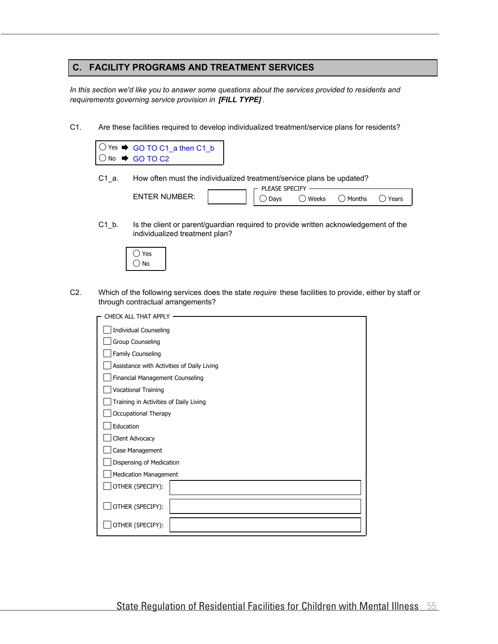#### **C. FACILITY PROGRAMS AND TREATMENT SERVICES**

*In this section we'd like you to answer some questions about the services provided to residents and requirements governing service provision in [FILL TYPE] .*

C1. Are these facilities required to develop individualized treatment/service plans for residents?



C1\_a. How often must the individualized treatment/service plans be updated?

|                | DI<br>SPFL<br>FASE | CUL <sup>V</sup> |        |       |
|----------------|--------------------|------------------|--------|-------|
|                |                    |                  |        |       |
| $ENTFR$ NUMRER | Davs               | Weeks            | Months | ears' |
|                |                    |                  |        |       |

 $C1$  b. Is the client or parent/guardian required to provide written acknowledgement of the individualized treatment plan?



C2. Which of the following services does the state *require* these facilities to provide, either by staff or through contractual arrangements?

| CHECK ALL THAT APPLY                       |
|--------------------------------------------|
| <b>Individual Counseling</b>               |
| Group Counseling                           |
| Family Counseling                          |
| Assistance with Activities of Daily Living |
| Financial Management Counseling            |
| <b>Vocational Training</b>                 |
| Training in Activities of Daily Living     |
| Occupational Therapy                       |
| Education                                  |
| Client Advocacy                            |
| Case Management                            |
| Dispensing of Medication                   |
| <b>Medication Management</b>               |
| OTHER (SPECIFY):                           |
| OTHER (SPECIFY):                           |
| OTHER (SPECIFY):                           |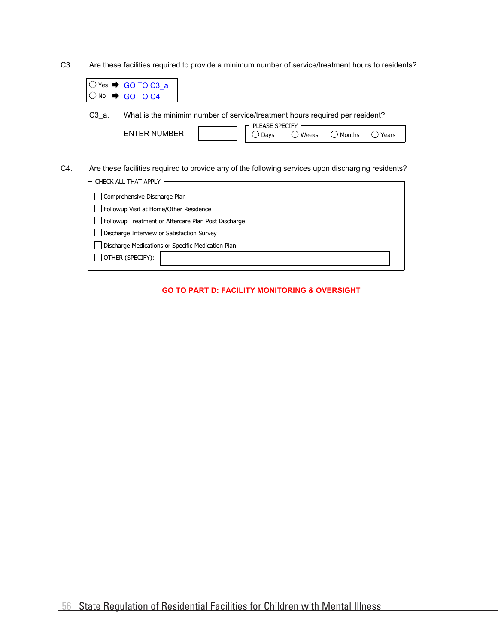C3. Are these facilities required to provide a minimum number of service/treatment hours to residents?

| Yes   | $\bullet$ GO TO C3 a                                                                                                       |
|-------|----------------------------------------------------------------------------------------------------------------------------|
| No    | GO TO C4                                                                                                                   |
| C3 a. | What is the minimim number of service/treatment hours required per resident?<br>PLEASE SPECIFY                             |
|       | <b>ENTER NUMBER:</b><br>Weeks<br>Months<br>Years<br>Days                                                                   |
|       |                                                                                                                            |
|       | Are these facilities required to provide any of the following services upon discharging residents?<br>CHECK ALL THAT APPLY |
|       | Comprehensive Discharge Plan                                                                                               |
|       | Followup Visit at Home/Other Residence                                                                                     |
|       | Followup Treatment or Aftercare Plan Post Discharge                                                                        |
|       | Discharge Interview or Satisfaction Survey                                                                                 |
|       | Discharge Medications or Specific Medication Plan                                                                          |
|       | OTHER (SPECIFY):                                                                                                           |

C4.

#### **GO TO PART D: FACILITY MONITORING & OVERSIGHT**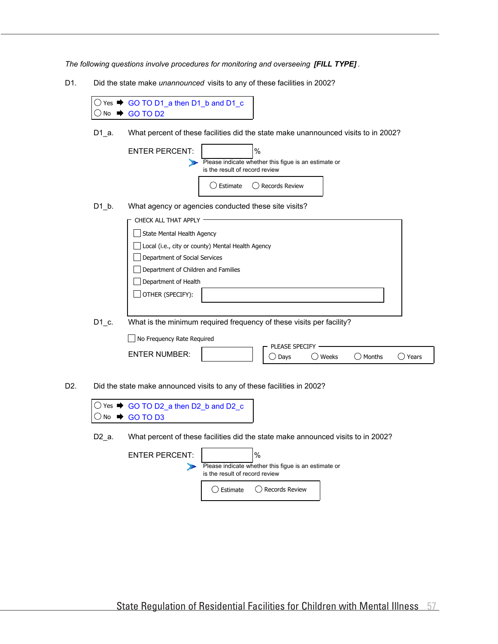*The following questions involve procedures for monitoring and overseeing [FILL TYPE] .*

D1. Did the state make *unannounced* visits to any of these facilities in 2002?

**D. FACILITY MONITORING AND OVERSIGHT**

| <b>No</b> | Yes $\bigoplus$ GO TO D1_a then D1_b and D1_c<br>GO TO D <sub>2</sub>                                                                                        |
|-----------|--------------------------------------------------------------------------------------------------------------------------------------------------------------|
| $D1_a$ .  | What percent of these facilities did the state make unannounced visits to in 2002?                                                                           |
|           | $\%$<br><b>ENTER PERCENT:</b><br>Please indicate whether this figue is an estimate or<br>is the result of record review<br>Estimate<br><b>Records Review</b> |
| $D1_b$ .  | What agency or agencies conducted these site visits?                                                                                                         |
|           | CHECK ALL THAT APPLY                                                                                                                                         |
|           | State Mental Health Agency                                                                                                                                   |
|           | Local (i.e., city or county) Mental Health Agency                                                                                                            |
|           | Department of Social Services                                                                                                                                |
|           | Department of Children and Families                                                                                                                          |
|           | Department of Health                                                                                                                                         |
|           | OTHER (SPECIFY):                                                                                                                                             |
|           |                                                                                                                                                              |
| D1 c.     | What is the minimum required frequency of these visits per facility?                                                                                         |
|           | No Frequency Rate Required                                                                                                                                   |
|           | PLEASE SPECIFY<br><b>ENTER NUMBER:</b>                                                                                                                       |
|           | Weeks<br>Months<br>Years<br>$\bigcirc$ Days                                                                                                                  |
|           | Did the state make announced visits to any of these facilities in 2002?<br>$\bigcirc$ Yes $\blacktriangleright$ GO TO D2_a then D2_b and D2_c                |

No ♥ GO TO D3

D2.

D2\_a. What percent of these facilities did the state make announced visits to in 2002?

| <b>ENTER PERCENT:</b> | $\%$<br>Please indicate whether this figue is an estimate or<br>is the result of record review |                    |  |
|-----------------------|------------------------------------------------------------------------------------------------|--------------------|--|
|                       | ( ) Estimate                                                                                   | ( ) Records Review |  |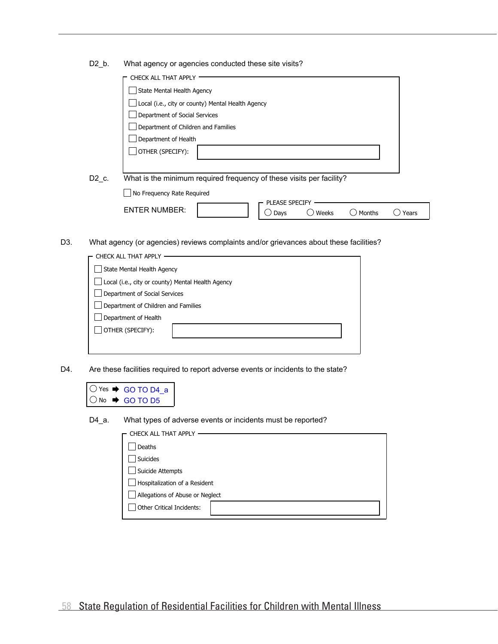|  | D <sub>2</sub> b. |  | What agency or agencies conducted these site visits? |  |
|--|-------------------|--|------------------------------------------------------|--|
|--|-------------------|--|------------------------------------------------------|--|

|                   | CHECK ALL THAT APPLY                                                       |
|-------------------|----------------------------------------------------------------------------|
|                   | State Mental Health Agency                                                 |
|                   | Local (i.e., city or county) Mental Health Agency                          |
|                   | Department of Social Services                                              |
|                   | Department of Children and Families                                        |
|                   | Department of Health                                                       |
|                   | OTHER (SPECIFY):                                                           |
|                   |                                                                            |
| D <sub>2</sub> c. | What is the minimum required frequency of these visits per facility?       |
|                   | No Frequency Rate Required                                                 |
|                   | PLEASE SPECIFY<br><b>ENTER NUMBER:</b><br>Weeks<br>Years<br>Months<br>Days |

D3. What agency (or agencies) reviews complaints and/or grievances about these facilities?

| CHECK ALL THAT APPLY                              |  |  |
|---------------------------------------------------|--|--|
| State Mental Health Agency                        |  |  |
| Local (i.e., city or county) Mental Health Agency |  |  |
| Department of Social Services                     |  |  |
| Department of Children and Families               |  |  |
| Department of Health                              |  |  |
| OTHER (SPECIFY):                                  |  |  |
|                                                   |  |  |
|                                                   |  |  |

D4. Are these facilities required to report adverse events or incidents to the state?



D4\_a. What types of adverse events or incidents must be reported?

| CHECK ALL THAT APPLY            |  |
|---------------------------------|--|
| Deaths                          |  |
| Suicides                        |  |
| Suicide Attempts                |  |
| Hospitalization of a Resident   |  |
| Allegations of Abuse or Neglect |  |
| Other Critical Incidents:       |  |
|                                 |  |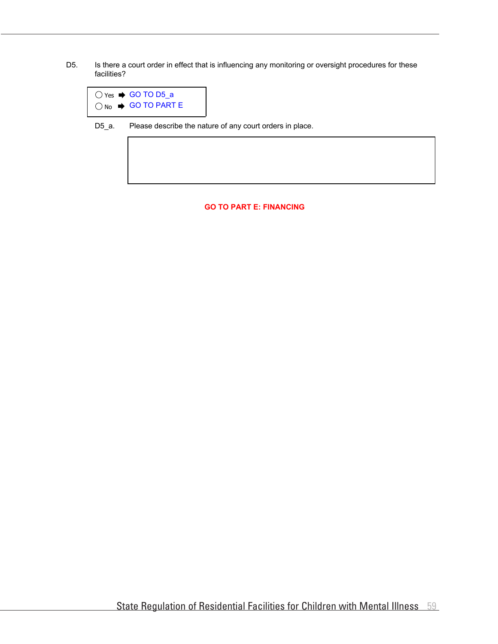D5. Is there a court order in effect that is influencing any monitoring or oversight procedures for these facilities?

| $\bigcirc$ Yes $\Rightarrow$ GO TO D5 a  |
|------------------------------------------|
| $\bigcirc$ No $\Rightarrow$ GO TO PART E |

D5\_a. Please describe the nature of any court orders in place.

#### **GO TO PART E: FINANCING**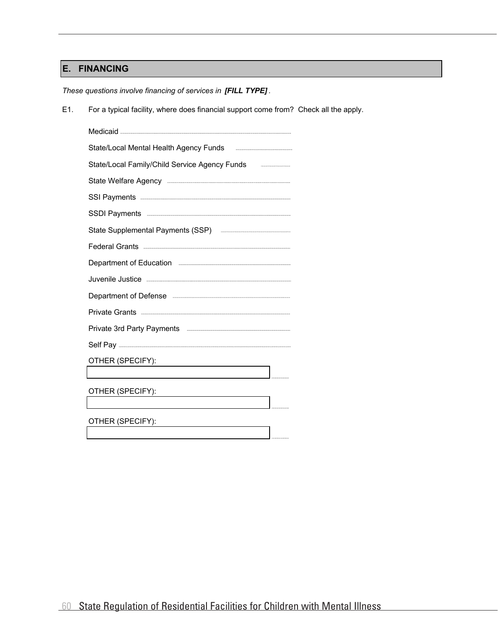## **E. FINANCING**

*These questions involve financing of services in [FILL TYPE] .*

E1. For a typical facility, where does financial support come from? Check all the apply.

| State/Local Mental Health Agency Funds <b>Example 2014</b>                                                                                                                                                                          | IJ |
|-------------------------------------------------------------------------------------------------------------------------------------------------------------------------------------------------------------------------------------|----|
| State/Local Family/Child Service Agency Funds <b>Commissions</b> and State/Local Family/Child Service Agency Funds                                                                                                                  | m  |
|                                                                                                                                                                                                                                     |    |
|                                                                                                                                                                                                                                     |    |
| SSDI Payments <b>www.communication.communication.communication</b>                                                                                                                                                                  |    |
| State Supplemental Payments (SSP) <b>Examinal State Supplemental Payments</b> (SSP)                                                                                                                                                 |    |
| Federal Grants <b>Executive Construction</b> and the construction of the construction of the construction of the construction of the construction of the construction of the construction of the construction of the construction o |    |
| Department of Education <b>Example 2018</b>                                                                                                                                                                                         |    |
| Juvenile Justice <b>Entrepreneurs and Street Construction</b>                                                                                                                                                                       |    |
| Department of Defense                                                                                                                                                                                                               |    |
|                                                                                                                                                                                                                                     |    |
|                                                                                                                                                                                                                                     |    |
|                                                                                                                                                                                                                                     |    |
| OTHER (SPECIFY):                                                                                                                                                                                                                    |    |
|                                                                                                                                                                                                                                     |    |
| OTHER (SPECIFY):                                                                                                                                                                                                                    |    |
|                                                                                                                                                                                                                                     |    |
| OTHER (SPECIFY):                                                                                                                                                                                                                    |    |
|                                                                                                                                                                                                                                     |    |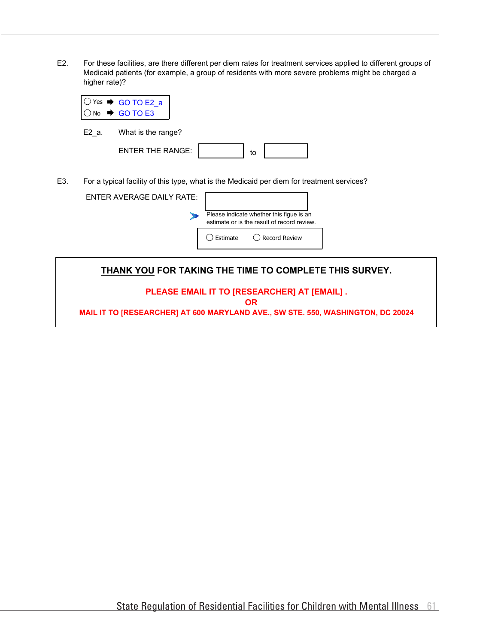E2. For these facilities, are there different per diem rates for treatment services applied to different groups of Medicaid patients (for example, a group of residents with more severe problems might be charged a higher rate)?

|  | $\overline{O}$ Yes $\rightarrow$ GO TO E2_a<br>$\overline{O}$ No $\rightarrow$ GO TO E3 |
|--|-----------------------------------------------------------------------------------------|
|  |                                                                                         |

E2\_a. What is the range?

| $F$ NTER THE RANGE: |  |  |
|---------------------|--|--|

E3. For a typical facility of this type, what is the Medicaid per diem for treatment services?

| <b>ENTER AVERAGE DAILY RATE:</b> |                                                                                         |                 |
|----------------------------------|-----------------------------------------------------------------------------------------|-----------------|
|                                  | Please indicate whether this figue is an<br>estimate or is the result of record review. |                 |
|                                  | Estimate                                                                                | ◯ Record Review |
|                                  |                                                                                         |                 |

**THANK YOU FOR TAKING THE TIME TO COMPLETE THIS SURVEY.**

**PLEASE EMAIL IT TO [RESEARCHER] AT [EMAIL] .**

**OR**

**MAIL IT TO [RESEARCHER] AT 600 MARYLAND AVE., SW STE. 550, WASHINGTON, DC 20024**